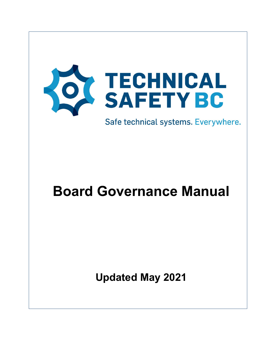

Safe technical systems. Everywhere.

# **Board Governance Manual**

**Updated May 2021**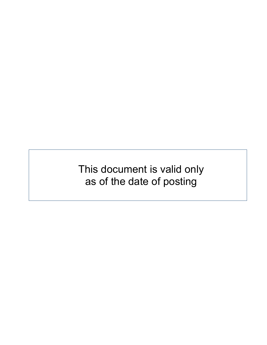This document is valid only as of the date of posting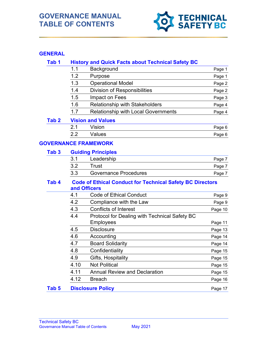# **GOVERNANCE MANUAL TABLE OF CONTENTS**



## **GENERAL**

| Tab <sub>1</sub> |                                                                                  | <b>History and Quick Facts about Technical Safety BC</b> |         |  |
|------------------|----------------------------------------------------------------------------------|----------------------------------------------------------|---------|--|
|                  | 1.1                                                                              | Background                                               | Page 1  |  |
|                  | 1.2                                                                              | Purpose                                                  | Page 1  |  |
|                  | 1.3                                                                              | <b>Operational Model</b>                                 | Page 2  |  |
|                  | 1.4                                                                              | <b>Division of Responsibilities</b>                      | Page 2  |  |
|                  | 1.5                                                                              | Impact on Fees                                           | Page 3  |  |
|                  | 1.6                                                                              | <b>Relationship with Stakeholders</b>                    | Page 4  |  |
|                  | 1.7                                                                              | <b>Relationship with Local Governments</b>               | Page 4  |  |
| Tab <sub>2</sub> | <b>Vision and Values</b>                                                         |                                                          |         |  |
|                  | 2.1                                                                              | Vision                                                   | Page 6  |  |
|                  | 2.2                                                                              | Values                                                   | Page 6  |  |
|                  |                                                                                  | <b>GOVERNANCE FRAMEWORK</b>                              |         |  |
| Tab <sub>3</sub> |                                                                                  | <b>Guiding Principles</b>                                |         |  |
|                  | 3.1                                                                              | Leadership                                               | Page 7  |  |
|                  | 3.2                                                                              | <b>Trust</b>                                             | Page 7  |  |
|                  | 3.3                                                                              | <b>Governance Procedures</b>                             | Page 7  |  |
| Tab 4            | <b>Code of Ethical Conduct for Technical Safety BC Directors</b><br>and Officers |                                                          |         |  |
|                  | 4.1                                                                              | <b>Code of Ethical Conduct</b>                           | Page 9  |  |
|                  | 4.2                                                                              | Compliance with the Law                                  | Page 9  |  |
|                  | 4.3                                                                              | <b>Conflicts of Interest</b>                             | Page 10 |  |
|                  | 4.4                                                                              | Protocol for Dealing with Technical Safety BC            |         |  |
|                  |                                                                                  | <b>Employees</b>                                         | Page 11 |  |
|                  | 4.5                                                                              | <b>Disclosure</b>                                        | Page 13 |  |
|                  | 4.6                                                                              | Accounting                                               | Page 14 |  |
|                  | 4.7                                                                              | <b>Board Solidarity</b>                                  | Page 14 |  |
|                  | 4.8                                                                              | Confidentiality                                          | Page 15 |  |
|                  | 4.9                                                                              | Gifts, Hospitality                                       | Page 15 |  |
|                  | 4.10                                                                             | <b>Not Political</b>                                     | Page 15 |  |
|                  | 4.11                                                                             | <b>Annual Review and Declaration</b>                     | Page 15 |  |
|                  | 4.12                                                                             | <b>Breach</b>                                            | Page 16 |  |
| Tab <sub>5</sub> | <b>Disclosure Policy</b>                                                         |                                                          | Page 17 |  |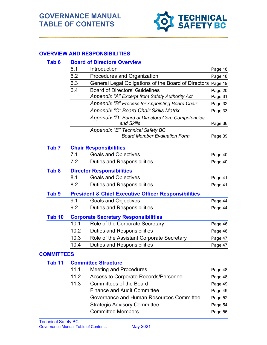

## **OVERVIEW AND RESPONSIBILITIES**

#### **Tab 6 Board of Directors Overview**

|                   | 6.1                                                             | Introduction                                                            | Page 18             |  |
|-------------------|-----------------------------------------------------------------|-------------------------------------------------------------------------|---------------------|--|
|                   | 6.2                                                             | Procedures and Organization                                             | Page 18             |  |
|                   | 6.3                                                             | General Legal Obligations of the Board of Directors Page 19             |                     |  |
|                   | 6.4                                                             | <b>Board of Directors' Guidelines</b>                                   | Page 20             |  |
|                   |                                                                 | Appendix "A" Excerpt from Safety Authority Act                          | Page 31             |  |
|                   |                                                                 | Appendix "B" Process for Appointing Board Chair                         | Page 32             |  |
|                   |                                                                 | Appendix "C" Board Chair Skills Matrix                                  | Page 33             |  |
|                   |                                                                 | Appendix "D" Board of Directors Core Competencies<br>and Skills         | Page 36             |  |
|                   |                                                                 | Appendix "E" Technical Safety BC<br><b>Board Member Evaluation Form</b> | Page 39             |  |
| Tab <sub>7</sub>  |                                                                 | <b>Chair Responsibilities</b>                                           |                     |  |
|                   | 7.1                                                             | <b>Goals and Objectives</b>                                             | Page 40             |  |
|                   | 7.2                                                             | <b>Duties and Responsibilities</b>                                      | Page 40             |  |
| Tab <sub>8</sub>  | <b>Director Responsibilities</b>                                |                                                                         |                     |  |
|                   | 8.1                                                             | <b>Goals and Objectives</b>                                             | Page 41             |  |
|                   | 8.2                                                             | <b>Duties and Responsibilities</b>                                      | Page 41             |  |
| Tab <sub>9</sub>  | <b>President &amp; Chief Executive Officer Responsibilities</b> |                                                                         |                     |  |
|                   | 9.1                                                             | <b>Goals and Objectives</b>                                             | Page 44             |  |
|                   | 9.2                                                             | <b>Duties and Responsibilities</b>                                      | Page 44             |  |
| Tab <sub>10</sub> | <b>Corporate Secretary Responsibilities</b>                     |                                                                         |                     |  |
|                   | 10.1                                                            | Role of the Corporate Secretary                                         | Page 46             |  |
|                   | 10.2                                                            | <b>Duties and Responsibilities</b>                                      | Page 46             |  |
|                   | 10.3                                                            | Role of the Assistant Corporate Secretary                               | Page 47             |  |
|                   | 10.4                                                            | <b>Duties and Responsibilities</b>                                      | Page 47             |  |
| <b>COMMITTEES</b> |                                                                 |                                                                         |                     |  |
| Tab <sub>11</sub> |                                                                 | <b>Committee Structure</b>                                              |                     |  |
|                   | 111                                                             | Mooting and Dropoduron                                                  | $D -$<br>$\sqrt{2}$ |  |

| 11.2<br><b>Access to Corporate Records/Personnel</b><br>Page 48 |  |
|-----------------------------------------------------------------|--|
|                                                                 |  |
| 11.3<br><b>Committees of the Board</b><br>Page 49               |  |
| <b>Finance and Audit Committee</b><br>Page 49                   |  |
| Governance and Human Resources Committee<br>Page 52             |  |
| <b>Strategic Advisory Committee</b><br>Page 54                  |  |
| <b>Committee Members</b><br>Page 56                             |  |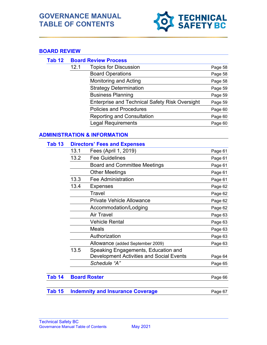# **GOVERNANCE MANUAL TABLE OF CONTENTS**



## **BOAR**

| ARD REVIEW |      |                                                       |         |
|------------|------|-------------------------------------------------------|---------|
| Tab 12     |      | <b>Board Review Process</b>                           |         |
|            | 12.1 | <b>Topics for Discussion</b>                          | Page 58 |
|            |      | <b>Board Operations</b>                               | Page 58 |
|            |      | Monitoring and Acting                                 | Page 58 |
|            |      | <b>Strategy Determination</b>                         | Page 59 |
|            |      | <b>Business Planning</b>                              | Page 59 |
|            |      | <b>Enterprise and Technical Safety Risk Oversight</b> | Page 59 |
|            |      | <b>Policies and Procedures</b>                        | Page 60 |
|            |      | <b>Reporting and Consultation</b>                     | Page 60 |
|            |      | Legal Requirements                                    | Page 60 |

## **ADMINISTRATION & INFORMATION**

#### **Tab 13 Directors' Fees and Expenses**

| 13.1 | Fees (April 1, 2019)                            | Page 61 |
|------|-------------------------------------------------|---------|
| 13.2 | <b>Fee Guidelines</b>                           | Page 61 |
|      | <b>Board and Committee Meetings</b>             | Page 61 |
|      | <b>Other Meetings</b>                           | Page 61 |
| 13.3 | <b>Fee Administration</b>                       | Page 61 |
| 13.4 | <b>Expenses</b>                                 | Page 62 |
|      | Travel                                          | Page 62 |
|      | <b>Private Vehicle Allowance</b>                | Page 62 |
|      | Accommodation/Lodging                           | Page 62 |
|      | <b>Air Travel</b>                               | Page 63 |
|      | <b>Vehicle Rental</b>                           | Page 63 |
|      | Meals                                           | Page 63 |
|      | Authorization                                   | Page 63 |
|      | Allowance (added September 2009)                | Page 63 |
| 13.5 | Speaking Engagements, Education and             |         |
|      | <b>Development Activities and Social Events</b> | Page 64 |
|      | Schedule "A"                                    | Page 65 |
|      |                                                 |         |

## **Tab 14 Board Roster Page 66** Page 66

|  | <b>Tab 15 Indemnity and Insurance Coverage</b> |  | Page 67 |
|--|------------------------------------------------|--|---------|
|--|------------------------------------------------|--|---------|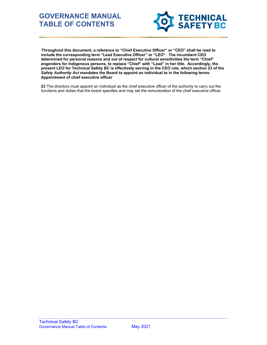# **GOVERNANCE MANUAL TABLE OF CONTENTS**



 **Throughout this document, a reference to "Chief Executive Officer" or "CEO" shall be read to include the corresponding term "Lead Executive Officer" or "LEO". The incumbent CEO determined for personal reasons and out of respect for cultural sensitivities the term "Chief" engenders for Indigenous persons, to replace "Chief" with "Lead" in her title. Accordingly, the present LEO for Technical Safety BC is effectively serving in the CEO role, which section 23 of the**  *Safety Authority Act* **mandates the Board to appoint an individual to in the following terms: Appointment of chief executive officer**

**23** The directors must appoint an individual as the chief executive officer of the authority to carry out the functions and duties that the board specifies and may set the remuneration of the chief executive officer.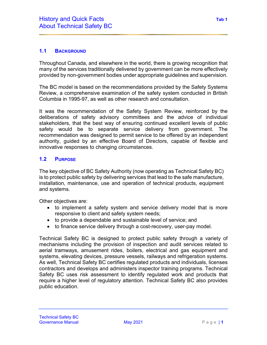## **1.1 BACKGROUND**

Throughout Canada, and elsewhere in the world, there is growing recognition that many of the services traditionally delivered by government can be more effectively provided by non-government bodies under appropriate guidelines and supervision.

The BC model is based on the recommendations provided by the Safety Systems Review, a comprehensive examination of the safety system conducted in British Columbia in 1995-97, as well as other research and consultation.

It was the recommendation of the Safety System Review, reinforced by the deliberations of safety advisory committees and the advice of individual stakeholders, that the best way of ensuring continued excellent levels of public safety would be to separate service delivery from government. The recommendation was designed to permit service to be offered by an independent authority, guided by an effective Board of Directors, capable of flexible and innovative responses to changing circumstances.

## **1.2 PURPOSE**

The key objective of BC Safety Authority (now operating as Technical Safety BC) is to protect public safety by delivering services that lead to the safe manufacture, installation, maintenance, use and operation of technical products, equipment and systems.

Other objectives are:

- to implement a safety system and service delivery model that is more responsive to client and safety system needs;
- to provide a dependable and sustainable level of service; and
- to finance service delivery through a cost-recovery, user-pay model.

Technical Safety BC is designed to protect public safety through a variety of mechanisms including the provision of inspection and audit services related to aerial tramways, amusement rides, boilers, electrical and gas equipment and systems, elevating devices, pressure vessels, railways and refrigeration systems. As well, Technical Safety BC certifies regulated products and individuals, licenses contractors and develops and administers inspector training programs. Technical Safety BC uses risk assessment to identify regulated work and products that require a higher level of regulatory attention. Technical Safety BC also provides public education.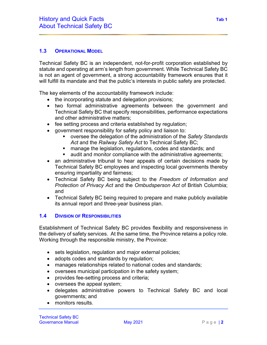## **1.3 OPERATIONAL MODEL**

Technical Safety BC is an independent, not-for-profit corporation established by statute and operating at arm's length from government. While Technical Safety BC is not an agent of government, a strong accountability framework ensures that it will fulfill its mandate and that the public's interests in public safety are protected.

The key elements of the accountability framework include:

- the incorporating statute and delegation provisions;
- two formal administrative agreements between the government and Technical Safety BC that specify responsibilities, performance expectations and other administrative matters;
- fee setting process and criteria established by regulation;
- government responsibility for safety policy and liaison to:
	- oversee the delegation of the administration of the *Safety Standards Act* and the *Railway Safety Act* to Technical Safety BC;
	- **nanage the legislation, regulations, codes and standards; and**
	- audit and monitor compliance with the administrative agreements;
- an administrative tribunal to hear appeals of certain decisions made by Technical Safety BC employees and inspecting local governments thereby ensuring impartiality and fairness;
- Technical Safety BC being subject to the *Freedom of Information and Protection of Privacy Act* and the *Ombudsperson Act* of British Columbia; and
- Technical Safety BC being required to prepare and make publicly available its annual report and three-year business plan.

## **1.4 DIVISION OF RESPONSIBILITIES**

Establishment of Technical Safety BC provides flexibility and responsiveness in the delivery of safety services. At the same time, the Province retains a policy role. Working through the responsible ministry, the Province:

- sets legislation, regulation and major external policies;
- adopts codes and standards by regulation;
- manages relationships related to national codes and standards;
- oversees municipal participation in the safety system;
- provides fee-setting process and criteria;
- oversees the appeal system;
- delegates administrative powers to Technical Safety BC and local governments; and
- monitors results.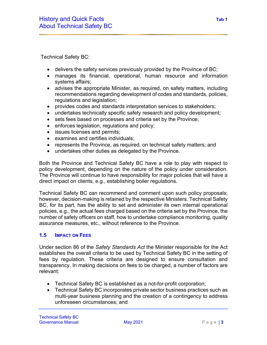Technical Safety BC:

- delivers the safety services previously provided by the Province of BC;
- manages its financial, operational, human resource and information systems affairs;
- advises the appropriate Minister, as required, on safety matters, including recommendations regarding development of codes and standards, policies, regulations and legislation;
- provides codes and standards interpretation services to stakeholders;
- undertakes technically specific safety research and policy development;
- sets fees based on processes and criteria set by the Province;
- enforces legislation, regulations and policy;
- issues licenses and permits;
- examines and certifies individuals;
- represents the Province, as required, on technical safety matters; and
- undertakes other duties as delegated by the Province.

Both the Province and Technical Safety BC have a role to play with respect to policy development, depending on the nature of the policy under consideration. The Province will continue to have responsibility for major policies that will have a direct impact on clients, e.g., establishing boiler regulations.

Technical Safety BC can recommend and comment upon such policy proposals; however, decision-making is retained by the respective Ministers. Technical Safety BC, for its part, has the ability to set and administer its own internal operational policies, e.g., the actual fees charged based on the criteria set by the Province, the number of safety officers on staff, how to undertake compliance monitoring, quality assurance measures, etc., without reference to the Province.

#### **1.5 IMPACT ON FEES**

Under section 86 of the *Safety Standards Act* the Minister responsible for the Act establishes the overall criteria to be used by Technical Safety BC in the setting of fees by regulation. These criteria are designed to ensure consultation and transparency. In making decisions on fees to be charged, a number of factors are relevant:

- Technical Safety BC is established as a not-for-profit corporation;
- Technical Safety BC incorporates private sector business practices such as multi-year business planning and the creation of a contingency to address unforeseen circumstances; and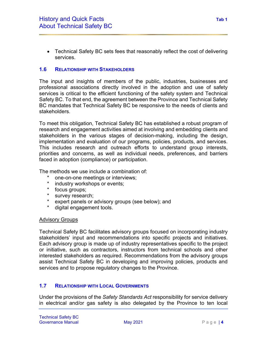• Technical Safety BC sets fees that reasonably reflect the cost of delivering services.

## **1.6 RELATIONSHIP WITH STAKEHOLDERS**

The input and insights of members of the public, industries, businesses and professional associations directly involved in the adoption and use of safety services is critical to the efficient functioning of the safety system and Technical Safety BC. To that end, the agreement between the Province and Technical Safety BC mandates that Technical Safety BC be responsive to the needs of clients and stakeholders.

To meet this obligation, Technical Safety BC has established a robust program of research and engagement activities aimed at involving and embedding clients and stakeholders in the various stages of decision-making, including the design, implementation and evaluation of our programs, policies, products, and services. This includes research and outreach efforts to understand group interests, priorities and concerns, as well as individual needs, preferences, and barriers faced in adoption (compliance) or participation.

The methods we use include a combination of:

- \* one-on-one meetings or interviews;
- \* industry workshops or events;
- \* focus groups;<br>\* survey researd
- \* survey research;<br>\* expert panels or
- \* expert panels or advisory groups (see below); and<br>\* digital engagement tools
- digital engagement tools.

#### Advisory Groups

Technical Safety BC facilitates advisory groups focused on incorporating industry stakeholders' input and recommendations into specific projects and initiatives. Each advisory group is made up of industry representatives specific to the project or initiative, such as contractors, instructors from technical schools and other interested stakeholders as required. Recommendations from the advisory groups assist Technical Safety BC in developing and improving policies, products and services and to propose regulatory changes to the Province.

## **1.7 RELATIONSHIP WITH LOCAL GOVERNMENTS**

Under the provisions of the *Safety Standards Act* responsibility for service delivery in electrical and/or gas safety is also delegated by the Province to ten local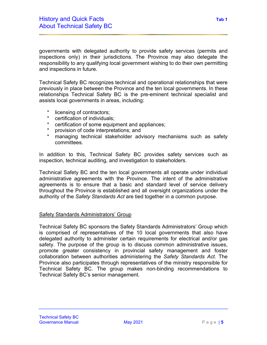governments with delegated authority to provide safety services (permits and inspections only) in their jurisdictions. The Province may also delegate the responsibility to any qualifying local government wishing to do their own permitting and inspections in future.

Technical Safety BC recognizes technical and operational relationships that were previously in place between the Province and the ten local governments. In these relationships Technical Safety BC is the pre-eminent technical specialist and assists local governments in areas, including:

- \* licensing of contractors;<br>\* certification of individual
- certification of individuals:
- \* certification of some equipment and appliances;
- \* provision of code interpretations; and<br>\* managing technical stakeholder adv
- managing technical stakeholder advisory mechanisms such as safety committees.

In addition to this, Technical Safety BC provides safety services such as inspection, technical auditing, and investigation to stakeholders.

Technical Safety BC and the ten local governments all operate under individual administrative agreements with the Province. The intent of the administrative agreements is to ensure that a basic and standard level of service delivery throughout the Province is established and all oversight organizations under the authority of the *Safety Standards Act* are tied together in a common purpose.

#### Safety Standards Administrators' Group

Technical Safety BC sponsors the Safety Standards Administrators' Group which is comprised of representatives of the 10 local governments that also have delegated authority to administer certain requirements for electrical and/or gas safety. The purpose of the group is to discuss common administrative issues, promote greater consistency in provincial safety management and foster collaboration between authorities administering the *Safety Standards Act*. The Province also participates through representatives of the ministry responsible for Technical Safety BC. The group makes non-binding recommendations to Technical Safety BC's senior management.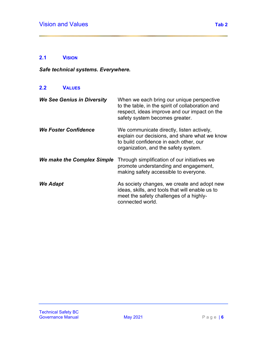## **2.1 VISION**

*Safe technical systems. Everywhere.*

## **2.2 VALUES**

| <b>We See Genius in Diversity</b> | When we each bring our unique perspective<br>to the table, in the spirit of collaboration and<br>respect, ideas improve and our impact on the<br>safety system becomes greater. |
|-----------------------------------|---------------------------------------------------------------------------------------------------------------------------------------------------------------------------------|
| <b>We Foster Confidence</b>       | We communicate directly, listen actively,<br>explain our decisions, and share what we know<br>to build confidence in each other, our<br>organization, and the safety system.    |
| We make the Complex Simple        | Through simplification of our initiatives we<br>promote understanding and engagement,<br>making safety accessible to everyone.                                                  |
| We Adapt                          | As society changes, we create and adopt new<br>ideas, skills, and tools that will enable us to<br>meet the safety challenges of a highly-<br>connected world.                   |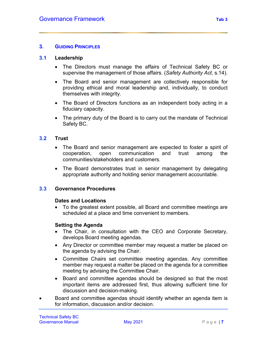#### **3. GUIDING PRINCIPLES**

#### **3.1 Leadership**

- The Directors must manage the affairs of Technical Safety BC or supervise the management of those affairs. (*Safety Authority Act,* s.14).
- The Board and senior management are collectively responsible for providing ethical and moral leadership and, individually, to conduct themselves with integrity.
- The Board of Directors functions as an independent body acting in a fiduciary capacity.
- The primary duty of the Board is to carry out the mandate of Technical Safety BC.

#### **3.2 Trust**

- The Board and senior management are expected to foster a spirit of cooperation, open communication and trust among the communities/stakeholders and customers.
- The Board demonstrates trust in senior management by delegating appropriate authority and holding senior management accountable.

#### **3.3 Governance Procedures**

#### **Dates and Locations**

• To the greatest extent possible, all Board and committee meetings are scheduled at a place and time convenient to members.

#### **Setting the Agenda**

- The Chair, in consultation with the CEO and Corporate Secretary, develops Board meeting agendas.
- Any Director or committee member may request a matter be placed on the agenda by advising the Chair.
- Committee Chairs set committee meeting agendas. Any committee member may request a matter be placed on the agenda for a committee meeting by advising the Committee Chair.
- Board and committee agendas should be designed so that the most important items are addressed first, thus allowing sufficient time for discussion and decision-making.
- Board and committee agendas should identify whether an agenda item is for information, discussion and/or decision.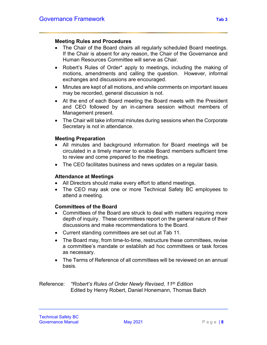#### **Meeting Rules and Procedures**

- The Chair of the Board chairs all regularly scheduled Board meetings. If the Chair is absent for any reason, the Chair of the Governance and Human Resources Committee will serve as Chair.
- Robert's Rules of Order\* apply to meetings, including the making of motions, amendments and calling the question. However, informal exchanges and discussions are encouraged.
- Minutes are kept of all motions, and while comments on important issues may be recorded, general discussion is not.
- At the end of each Board meeting the Board meets with the President and CEO followed by an in-camera session without members of Management present.
- The Chair will take informal minutes during sessions when the Corporate Secretary is not in attendance.

## **Meeting Preparation**

- All minutes and background information for Board meetings will be circulated in a timely manner to enable Board members sufficient time to review and come prepared to the meetings.
- The CEO facilitates business and news updates on a regular basis.

#### **Attendance at Meetings**

- All Directors should make every effort to attend meetings.
- The CEO may ask one or more Technical Safety BC employees to attend a meeting.

## **Committees of the Board**

- Committees of the Board are struck to deal with matters requiring more depth of inquiry. These committees report on the general nature of their discussions and make recommendations to the Board.
- Current standing committees are set out at Tab 11.
- The Board may, from time-to-time, restructure these committees, revise a committee's mandate or establish ad hoc committees or task forces as necessary.
- The Terms of Reference of all committees will be reviewed on an annual basis.

Reference: *\*Robert's Rules of Order Newly Revised, 11th Edition* Edited by Henry Robert, Daniel Honemann, Thomas Balch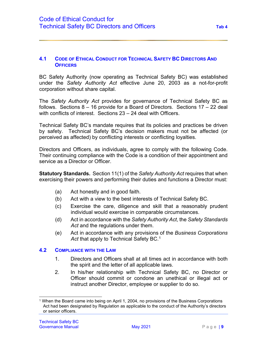#### **4.1 CODE OF ETHICAL CONDUCT FOR TECHNICAL SAFETY BC DIRECTORS AND OFFICERS**

BC Safety Authority (now operating as Technical Safety BC) was established under the *Safety Authority Act* effective June 20, 2003 as a not-for-profit corporation without share capital.

The *Safety Authority Act* provides for governance of Technical Safety BC as follows. Sections 8 – 16 provide for a Board of Directors. Sections 17 – 22 deal with conflicts of interest. Sections 23 – 24 deal with Officers.

Technical Safety BC's mandate requires that its policies and practices be driven by safety. Technical Safety BC's decision makers must not be affected (or perceived as affected) by conflicting interests or conflicting loyalties.

Directors and Officers, as individuals, agree to comply with the following Code. Their continuing compliance with the Code is a condition of their appointment and service as a Director or Officer.

**Statutory Standards.** Section 11(1) of the *Safety Authority Act* requires that when exercising their powers and performing their duties and functions a Director must:

- (a) Act honestly and in good faith.
- (b) Act with a view to the best interests of Technical Safety BC.
- (c) Exercise the care, diligence and skill that a reasonably prudent individual would exercise in comparable circumstances.
- (d) Act in accordance with the *Safety Authority Act*, the *Safety Standards*  Act and the regulations under them.
- (e) Act in accordance with any provisions of the *Business Corporations Act* that apply to Technical Safety BC. [1](#page-14-0)

#### **4.2 COMPLIANCE WITH THE LAW**

- 1. Directors and Officers shall at all times act in accordance with both the spirit and the letter of all applicable laws.
- 2. In his/her relationship with Technical Safety BC, no Director or Officer should commit or condone an unethical or illegal act or instruct another Director, employee or supplier to do so.

<span id="page-14-0"></span><sup>1</sup> When the Board came into being on April 1, 2004, no provisions of the Business Corporations Act had been designated by Regulation as applicable to the conduct of the Authority's directors or senior officers.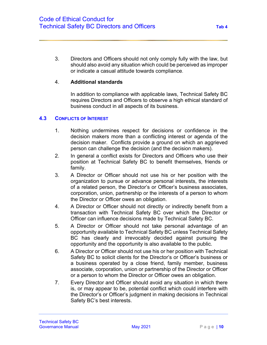3. Directors and Officers should not only comply fully with the law, but should also avoid any situation which could be perceived as improper or indicate a casual attitude towards compliance.

#### 4. **Additional standards**

In addition to compliance with applicable laws, Technical Safety BC requires Directors and Officers to observe a high ethical standard of business conduct in all aspects of its business.

#### **4.3 CONFLICTS OF INTEREST**

- 1. Nothing undermines respect for decisions or confidence in the decision makers more than a conflicting interest or agenda of the decision maker. Conflicts provide a ground on which an aggrieved person can challenge the decision (and the decision makers).
- 2. In general a conflict exists for Directors and Officers who use their position at Technical Safety BC to benefit themselves, friends or family.
- 3. A Director or Officer should not use his or her position with the organization to pursue or advance personal interests, the interests of a related person, the Director's or Officer's business associates, corporation, union, partnership or the interests of a person to whom the Director or Officer owes an obligation.
- 4. A Director or Officer should not directly or indirectly benefit from a transaction with Technical Safety BC over which the Director or Officer can influence decisions made by Technical Safety BC.
- 5. A Director or Officer should not take personal advantage of an opportunity available to Technical Safety BC unless Technical Safety BC has clearly and irrevocably decided against pursuing the opportunity and the opportunity is also available to the public.
- 6. A Director or Officer should not use his or her position with Technical Safety BC to solicit clients for the Director's or Officer's business or a business operated by a close friend, family member, business associate, corporation, union or partnership of the Director or Officer or a person to whom the Director or Officer owes an obligation.
- 7. Every Director and Officer should avoid any situation in which there is, or may appear to be, potential conflict which could interfere with the Director's or Officer's judgment in making decisions in Technical Safety BC's best interests.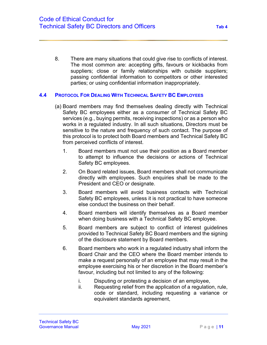8. There are many situations that could give rise to conflicts of interest. The most common are: accepting gifts, favours or kickbacks from suppliers; close or family relationships with outside suppliers; passing confidential information to competitors or other interested parties; or using confidential information inappropriately.

#### **4.4 PROTOCOL FOR DEALING WITH TECHNICAL SAFETY BC EMPLOYEES**

- (a) Board members may find themselves dealing directly with Technical Safety BC employees either as a consumer of Technical Safety BC services (e.g., buying permits, receiving inspections) or as a person who works in a regulated industry. In all such situations, Directors must be sensitive to the nature and frequency of such contact. The purpose of this protocol is to protect both Board members and Technical Safety BC from perceived conflicts of interest.
	- 1. Board members must not use their position as a Board member to attempt to influence the decisions or actions of Technical Safety BC employees.
	- 2. On Board related issues, Board members shall not communicate directly with employees. Such enquiries shall be made to the President and CEO or designate.
	- 3. Board members will avoid business contacts with Technical Safety BC employees, unless it is not practical to have someone else conduct the business on their behalf.
	- 4. Board members will identify themselves as a Board member when doing business with a Technical Safety BC employee.
	- 5. Board members are subject to conflict of interest guidelines provided to Technical Safety BC Board members and the signing of the disclosure statement by Board members.
	- 6. Board members who work in a regulated industry shall inform the Board Chair and the CEO where the Board member intends to make a request personally of an employee that may result in the employee exercising his or her discretion in the Board member's favour, including but not limited to any of the following:
		- i. Disputing or protesting a decision of an employee,
		- ii. Requesting relief from the application of a regulation, rule, code or standard, including requesting a variance or equivalent standards agreement,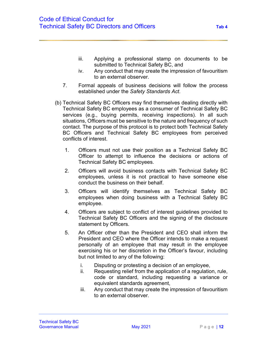- iii. Applying a professional stamp on documents to be submitted to Technical Safety BC, and
- iv. Any conduct that may create the impression of favouritism to an external observer.
- 7. Formal appeals of business decisions will follow the process established under the *Safety Standards Act*.
- (b) Technical Safety BC Officers may find themselves dealing directly with Technical Safety BC employees as a consumer of Technical Safety BC services (e.g., buying permits, receiving inspections). In all such situations, Officers must be sensitive to the nature and frequency of such contact. The purpose of this protocol is to protect both Technical Safety BC Officers and Technical Safety BC employees from perceived conflicts of interest.
	- 1. Officers must not use their position as a Technical Safety BC Officer to attempt to influence the decisions or actions of Technical Safety BC employees.
	- 2. Officers will avoid business contacts with Technical Safety BC employees, unless it is not practical to have someone else conduct the business on their behalf.
	- 3. Officers will identify themselves as Technical Safety BC employees when doing business with a Technical Safety BC employee.
	- 4. Officers are subject to conflict of interest guidelines provided to Technical Safety BC Officers and the signing of the disclosure statement by Officers.
	- 5. An Officer other than the President and CEO shall inform the President and CEO where the Officer intends to make a request personally of an employee that may result in the employee exercising his or her discretion in the Officer's favour, including but not limited to any of the following:
		- i. Disputing or protesting a decision of an employee,
		- ii. Requesting relief from the application of a regulation, rule, code or standard, including requesting a variance or equivalent standards agreement,
		- iii. Any conduct that may create the impression of favouritism to an external observer.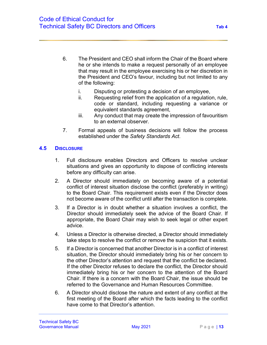- 6. The President and CEO shall inform the Chair of the Board where he or she intends to make a request personally of an employee that may result in the employee exercising his or her discretion in the President and CEO's favour, including but not limited to any of the following:
	- i. Disputing or protesting a decision of an employee,
	- ii. Requesting relief from the application of a regulation, rule, code or standard, including requesting a variance or equivalent standards agreement,
	- iii. Any conduct that may create the impression of favouritism to an external observer.
- 7. Formal appeals of business decisions will follow the process established under the *Safety Standards Act*.

## **4.5 DISCLOSURE**

- 1. Full disclosure enables Directors and Officers to resolve unclear situations and gives an opportunity to dispose of conflicting interests before any difficulty can arise.
- 2. A Director should immediately on becoming aware of a potential conflict of interest situation disclose the conflict (preferably in writing) to the Board Chair. This requirement exists even if the Director does not become aware of the conflict until after the transaction is complete.
- 3. If a Director is in doubt whether a situation involves a conflict, the Director should immediately seek the advice of the Board Chair. If appropriate, the Board Chair may wish to seek legal or other expert advice.
- 4. Unless a Director is otherwise directed, a Director should immediately take steps to resolve the conflict or remove the suspicion that it exists.
- 5. If a Director is concerned that another Director is in a conflict of interest situation, the Director should immediately bring his or her concern to the other Director's attention and request that the conflict be declared. If the other Director refuses to declare the conflict, the Director should immediately bring his or her concern to the attention of the Board Chair. If there is a concern with the Board Chair, the issue should be referred to the Governance and Human Resources Committee.
- 6. A Director should disclose the nature and extent of any conflict at the first meeting of the Board after which the facts leading to the conflict have come to that Director's attention.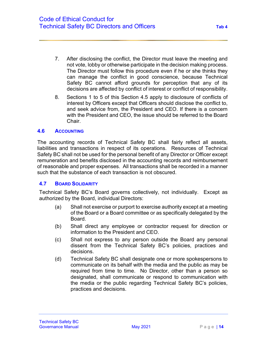- 7. After disclosing the conflict, the Director must leave the meeting and not vote, lobby or otherwise participate in the decision making process. The Director must follow this procedure even if he or she thinks they can manage the conflict in good conscience, because Technical Safety BC cannot afford grounds for perception that any of its decisions are affected by conflict of interest or conflict of responsibility.
- 8. Sections 1 to 5 of this Section 4.5 apply to disclosure of conflicts of interest by Officers except that Officers should disclose the conflict to, and seek advice from, the President and CEO. If there is a concern with the President and CEO, the issue should be referred to the Board Chair.

#### **4.6 ACCOUNTING**

The accounting records of Technical Safety BC shall fairly reflect all assets, liabilities and transactions in respect of its operations. Resources of Technical Safety BC shall not be used for the personal benefit of any Director or Officer except remuneration and benefits disclosed in the accounting records and reimbursement of reasonable and proper expenses. All transactions shall be recorded in a manner such that the substance of each transaction is not obscured.

#### **4.7 BOARD SOLIDARITY**

Technical Safety BC's Board governs collectively, not individually. Except as authorized by the Board, individual Directors:

- (a) Shall not exercise or purport to exercise authority except at a meeting of the Board or a Board committee or as specifically delegated by the Board.
- (b) Shall direct any employee or contractor request for direction or information to the President and CEO.
- (c) Shall not express to any person outside the Board any personal dissent from the Technical Safety BC's policies, practices and decisions.
- (d) Technical Safety BC shall designate one or more spokespersons to communicate on its behalf with the media and the public as may be required from time to time. No Director, other than a person so designated, shall communicate or respond to communication with the media or the public regarding Technical Safety BC's policies, practices and decisions.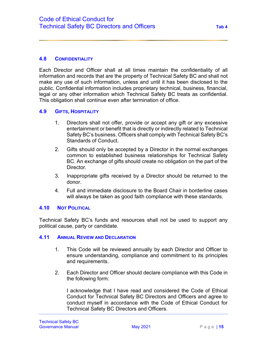#### **4.8 CONFIDENTIALITY**

Each Director and Officer shall at all times maintain the confidentiality of all information and records that are the property of Technical Safety BC and shall not make any use of such information, unless and until it has been disclosed to the public. Confidential information includes proprietary technical, business, financial, legal or any other information which Technical Safety BC treats as confidential. This obligation shall continue even after termination of office.

#### **4.9 GIFTS, HOSPITALITY**

- 1. Directors shall not offer, provide or accept any gift or any excessive entertainment or benefit that is directly or indirectly related to Technical Safety BC's business. Officers shall comply with Technical Safety BC's Standards of Conduct.
- 2. Gifts should only be accepted by a Director in the normal exchanges common to established business relationships for Technical Safety BC. An exchange of gifts should create no obligation on the part of the Director.
- 3. Inappropriate gifts received by a Director should be returned to the donor.
- 4. Full and immediate disclosure to the Board Chair in borderline cases will always be taken as good faith compliance with these standards.

#### **4.10 NOT POLITICAL**

Technical Safety BC's funds and resources shall not be used to support any political cause, party or candidate.

#### **4.11 ANNUAL REVIEW AND DECLARATION**

- 1. This Code will be reviewed annually by each Director and Officer to ensure understanding, compliance and commitment to its principles and requirements.
- 2. Each Director and Officer should declare compliance with this Code in the following form:

I acknowledge that I have read and considered the Code of Ethical Conduct for Technical Safety BC Directors and Officers and agree to conduct myself in accordance with the Code of Ethical Conduct for Technical Safety BC Directors and Officers.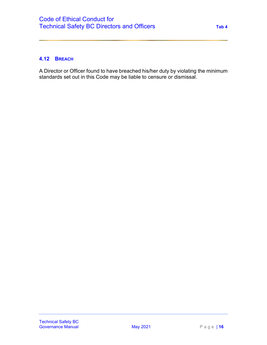## **4.12 BREACH**

A Director or Officer found to have breached his/her duty by violating the minimum standards set out in this Code may be liable to censure or dismissal.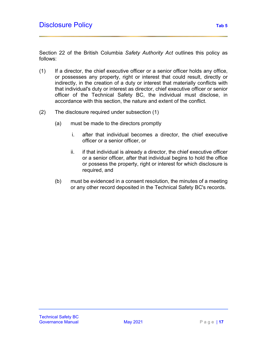Section 22 of the British Columbia *Safety Authority Act* outlines this policy as follows:

- (1) If a director, the chief executive officer or a senior officer holds any office, or possesses any property, right or interest that could result, directly or indirectly, in the creation of a duty or interest that materially conflicts with that individual's duty or interest as director, chief executive officer or senior officer of the Technical Safety BC, the individual must disclose, in accordance with this section, the nature and extent of the conflict.
- (2) The disclosure required under subsection (1)
	- (a) must be made to the directors promptly
		- i. after that individual becomes a director, the chief executive officer or a senior officer, or
		- ii. if that individual is already a director, the chief executive officer or a senior officer, after that individual begins to hold the office or possess the property, right or interest for which disclosure is required, and
	- (b) must be evidenced in a consent resolution, the minutes of a meeting or any other record deposited in the Technical Safety BC's records.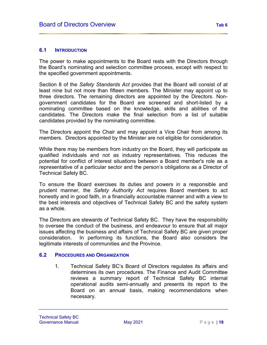#### **6.1 INTRODUCTION**

The power to make appointments to the Board rests with the Directors through the Board's nominating and selection committee process, except with respect to the specified government appointments.

Section 8 of the *Safety Standards Act* provides that the Board will consist of at least nine but not more than fifteen members. The Minister may appoint up to three directors. The remaining directors are appointed by the Directors. Nongovernment candidates for the Board are screened and short-listed by a nominating committee based on the knowledge, skills and abilities of the candidates. The Directors make the final selection from a list of suitable candidates provided by the nominating committee.

The Directors appoint the Chair and may appoint a Vice Chair from among its members. Directors appointed by the Minister are not eligible for consideration.

While there may be members from industry on the Board, they will participate as qualified individuals and not as industry representatives. This reduces the potential for conflict of interest situations between a Board member's role as a representative of a particular sector and the person's obligations as a Director of Technical Safety BC.

To ensure the Board exercises its duties and powers in a responsible and prudent manner, the *Safety Authority Act* requires Board members to act honestly and in good faith, in a financially accountable manner and with a view to the best interests and objectives of Technical Safety BC and the safety system as a whole.

The Directors are stewards of Technical Safety BC. They have the responsibility to oversee the conduct of the business, and endeavour to ensure that all major issues affecting the business and affairs of Technical Safety BC are given proper consideration. In performing its functions, the Board also considers the legitimate interests of communities and the Province.

#### **6.2 PROCEDURES AND ORGANIZATION**

1. Technical Safety BC's Board of Directors regulates its affairs and determines its own procedures. The Finance and Audit Committee reviews a summary report of Technical Safety BC internal operational audits semi-annually and presents its report to the Board on an annual basis, making recommendations when necessary.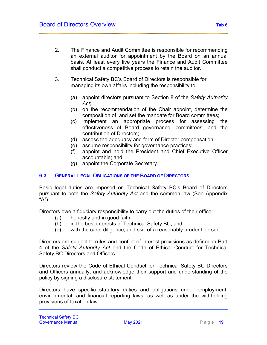- 2. The Finance and Audit Committee is responsible for recommending an external auditor for appointment by the Board on an annual basis. At least every five years the Finance and Audit Committee shall conduct a competitive process to retain the auditor.
- 3. Technical Safety BC's Board of Directors is responsible for managing its own affairs including the responsibility to:
	- (a) appoint directors pursuant to Section 8 of the *Safety Authority Act*;
	- (b) on the recommendation of the Chair appoint, determine the composition of, and set the mandate for Board committees;
	- (c) implement an appropriate process for assessing the effectiveness of Board governance, committees, and the contribution of Directors;
	- (d) assess the adequacy and form of Director compensation;
	- (e) assume responsibility for governance practices;
	- (f) appoint and hold the President and Chief Executive Officer accountable; and
	- (g) appoint the Corporate Secretary.

#### **6.3 GENERAL LEGAL OBLIGATIONS OF THE BOARD OF DIRECTORS**

Basic legal duties are imposed on Technical Safety BC's Board of Directors pursuant to both the *Safety Authority Act* and the common law (See Appendix "A").

Directors owe a fiduciary responsibility to carry out the duties of their office:

- (a) honestly and in good faith;
- (b) in the best interests of Technical Safety BC; and
- (c) with the care, diligence, and skill of a reasonably prudent person.

Directors are subject to rules and conflict of interest provisions as defined in Part 4 of the *Safety Authority Act* and the Code of Ethical Conduct for Technical Safety BC Directors and Officers.

Directors review the Code of Ethical Conduct for Technical Safety BC Directors and Officers annually, and acknowledge their support and understanding of the policy by signing a disclosure statement.

Directors have specific statutory duties and obligations under employment, environmental, and financial reporting laws, as well as under the withholding provisions of taxation law.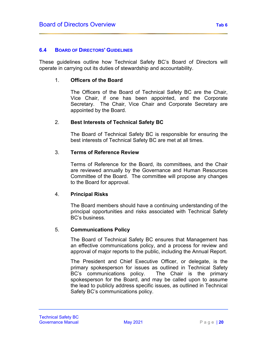#### **6.4 BOARD OF DIRECTORS' GUIDELINES**

These guidelines outline how Technical Safety BC's Board of Directors will operate in carrying out its duties of stewardship and accountability.

#### 1. **Officers of the Board**

The Officers of the Board of Technical Safety BC are the Chair, Vice Chair, if one has been appointed, and the Corporate Secretary. The Chair, Vice Chair and Corporate Secretary are appointed by the Board.

#### 2. **Best Interests of Technical Safety BC**

The Board of Technical Safety BC is responsible for ensuring the best interests of Technical Safety BC are met at all times.

#### 3. **Terms of Reference Review**

Terms of Reference for the Board, its committees, and the Chair are reviewed annually by the Governance and Human Resources Committee of the Board. The committee will propose any changes to the Board for approval.

#### 4. **Principal Risks**

The Board members should have a continuing understanding of the principal opportunities and risks associated with Technical Safety BC's business.

#### 5. **Communications Policy**

The Board of Technical Safety BC ensures that Management has an effective communications policy, and a process for review and approval of major reports to the public, including the Annual Report.

The President and Chief Executive Officer, or delegate, is the primary spokesperson for issues as outlined in Technical Safety BC's communications policy. The Chair is the primary spokesperson for the Board, and may be called upon to assume the lead to publicly address specific issues, as outlined in Technical Safety BC's communications policy.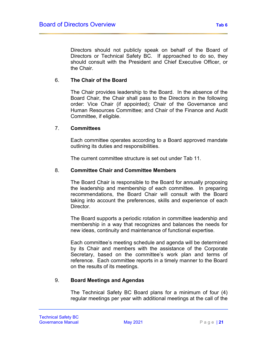Directors should not publicly speak on behalf of the Board of Directors or Technical Safety BC. If approached to do so, they should consult with the President and Chief Executive Officer, or the Chair.

#### 6. **The Chair of the Board**

The Chair provides leadership to the Board. In the absence of the Board Chair, the Chair shall pass to the Directors in the following order: Vice Chair (if appointed); Chair of the Governance and Human Resources Committee; and Chair of the Finance and Audit Committee, if eligible.

#### 7. **Committees**

Each committee operates according to a Board approved mandate outlining its duties and responsibilities.

The current committee structure is set out under Tab 11.

#### 8. **Committee Chair and Committee Members**

The Board Chair is responsible to the Board for annually proposing the leadership and membership of each committee. In preparing recommendations, the Board Chair will consult with the Board taking into account the preferences, skills and experience of each Director.

The Board supports a periodic rotation in committee leadership and membership in a way that recognizes and balances the needs for new ideas, continuity and maintenance of functional expertise.

Each committee's meeting schedule and agenda will be determined by its Chair and members with the assistance of the Corporate Secretary, based on the committee's work plan and terms of reference. Each committee reports in a timely manner to the Board on the results of its meetings.

#### 9. **Board Meetings and Agendas**

The Technical Safety BC Board plans for a minimum of four (4) regular meetings per year with additional meetings at the call of the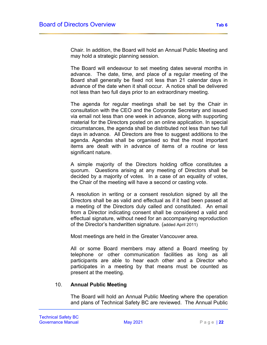Chair. In addition, the Board will hold an Annual Public Meeting and may hold a strategic planning session.

The Board will endeavour to set meeting dates several months in advance. The date, time, and place of a regular meeting of the Board shall generally be fixed not less than 21 calendar days in advance of the date when it shall occur. A notice shall be delivered not less than two full days prior to an extraordinary meeting.

The agenda for regular meetings shall be set by the Chair in consultation with the CEO and the Corporate Secretary and issued via email not less than one week in advance, along with supporting material for the Directors posted on an online application. In special circumstances, the agenda shall be distributed not less than two full days in advance. All Directors are free to suggest additions to the agenda. Agendas shall be organised so that the most important items are dealt with in advance of items of a routine or less significant nature.

A simple majority of the Directors holding office constitutes a quorum. Questions arising at any meeting of Directors shall be decided by a majority of votes. In a case of an equality of votes, the Chair of the meeting will have a second or casting vote.

A resolution in writing or a consent resolution signed by all the Directors shall be as valid and effectual as if it had been passed at a meeting of the Directors duly called and constituted. An email from a Director indicating consent shall be considered a valid and effectual signature, without need for an accompanying reproduction of the Director's handwritten signature. (added April 2011)

Most meetings are held in the Greater Vancouver area.

All or some Board members may attend a Board meeting by telephone or other communication facilities as long as all participants are able to hear each other and a Director who participates in a meeting by that means must be counted as present at the meeting.

#### 10. **Annual Public Meeting**

The Board will hold an Annual Public Meeting where the operation and plans of Technical Safety BC are reviewed. The Annual Public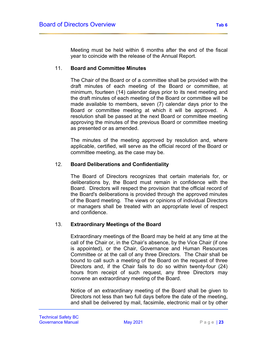Meeting must be held within 6 months after the end of the fiscal year to coincide with the release of the Annual Report.

#### 11. **Board and Committee Minutes**

The Chair of the Board or of a committee shall be provided with the draft minutes of each meeting of the Board or committee, at minimum, fourteen (14) calendar days prior to its next meeting and the draft minutes of each meeting of the Board or committee will be made available to members, seven (7) calendar days prior to the Board or committee meeting at which it will be approved. A resolution shall be passed at the next Board or committee meeting approving the minutes of the previous Board or committee meeting as presented or as amended.

The minutes of the meeting approved by resolution and, where applicable, certified, will serve as the official record of the Board or committee meeting, as the case may be.

#### 12. **Board Deliberations and Confidentiality**

The Board of Directors recognizes that certain materials for, or deliberations by, the Board must remain in confidence with the Board. Directors will respect the provision that the official record of the Board's deliberations is provided through the approved minutes of the Board meeting. The views or opinions of individual Directors or managers shall be treated with an appropriate level of respect and confidence.

#### 13. **Extraordinary Meetings of the Board**

Extraordinary meetings of the Board may be held at any time at the call of the Chair or, in the Chair's absence, by the Vice Chair (if one is appointed), or the Chair, Governance and Human Resources Committee or at the call of any three Directors. The Chair shall be bound to call such a meeting of the Board on the request of three Directors and, if the Chair fails to do so within twenty-four (24) hours from receipt of such request, any three Directors may convene an extraordinary meeting of the Board.

Notice of an extraordinary meeting of the Board shall be given to Directors not less than two full days before the date of the meeting, and shall be delivered by mail, facsimile, electronic mail or by other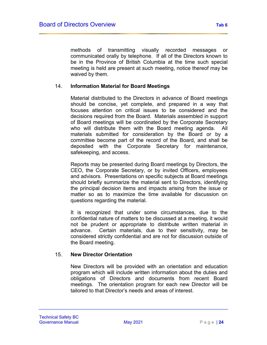methods of transmitting visually recorded messages or communicated orally by telephone. If all of the Directors known to be in the Province of British Columbia at the time such special meeting is held are present at such meeting, notice thereof may be waived by them.

#### 14. **Information Material for Board Meetings**

Material distributed to the Directors in advance of Board meetings should be concise, yet complete, and prepared in a way that focuses attention on critical issues to be considered and the decisions required from the Board. Materials assembled in support of Board meetings will be coordinated by the Corporate Secretary who will distribute them with the Board meeting agenda. All materials submitted for consideration by the Board or by a committee become part of the record of the Board, and shall be deposited with the Corporate Secretary for maintenance, safekeeping, and access.

Reports may be presented during Board meetings by Directors, the CEO, the Corporate Secretary, or by invited Officers, employees and advisors. Presentations on specific subjects at Board meetings should briefly summarize the material sent to Directors, identifying the principal decision items and impacts arising from the issue or matter so as to maximize the time available for discussion on questions regarding the material.

It is recognized that under some circumstances, due to the confidential nature of matters to be discussed at a meeting, it would not be prudent or appropriate to distribute written material in advance. Certain materials, due to their sensitivity, may be considered strictly confidential and are not for discussion outside of the Board meeting.

#### 15. **New Director Orientation**

New Directors will be provided with an orientation and education program which will include written information about the duties and obligations of Directors and documents from recent Board meetings. The orientation program for each new Director will be tailored to that Director's needs and areas of interest.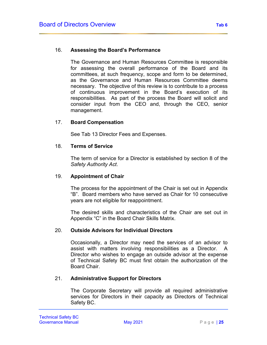#### 16. **Assessing the Board's Performance**

The Governance and Human Resources Committee is responsible for assessing the overall performance of the Board and its committees, at such frequency, scope and form to be determined, as the Governance and Human Resources Committee deems necessary. The objective of this review is to contribute to a process of continuous improvement in the Board's execution of its responsibilities. As part of the process the Board will solicit and consider input from the CEO and, through the CEO, senior management.

#### 17. **Board Compensation**

See Tab 13 Director Fees and Expenses.

#### 18. **Terms of Service**

The term of service for a Director is established by section 8 of the *Safety Authority Act*.

#### 19. **Appointment of Chair**

The process for the appointment of the Chair is set out in Appendix "B". Board members who have served as Chair for 10 consecutive years are not eligible for reappointment.

The desired skills and characteristics of the Chair are set out in Appendix "C" in the Board Chair Skills Matrix.

#### 20. **Outside Advisors for Individual Directors**

Occasionally, a Director may need the services of an advisor to assist with matters involving responsibilities as a Director. A Director who wishes to engage an outside advisor at the expense of Technical Safety BC must first obtain the authorization of the Board Chair.

#### 21. **Administrative Support for Directors**

The Corporate Secretary will provide all required administrative services for Directors in their capacity as Directors of Technical Safety BC.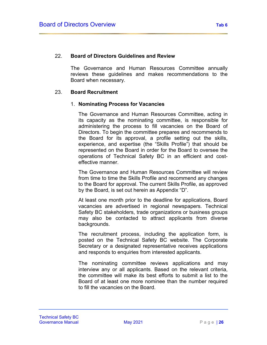#### 22. **Board of Directors Guidelines and Review**

The Governance and Human Resources Committee annually reviews these guidelines and makes recommendations to the Board when necessary.

#### 23. **Board Recruitment**

#### 1. **Nominating Process for Vacancies**

The Governance and Human Resources Committee, acting in its capacity as the nominating committee, is responsible for administering the process to fill vacancies on the Board of Directors. To begin the committee prepares and recommends to the Board for its approval, a profile setting out the skills, experience, and expertise (the "Skills Profile") that should be represented on the Board in order for the Board to oversee the operations of Technical Safety BC in an efficient and costeffective manner.

The Governance and Human Resources Committee will review from time to time the Skills Profile and recommend any changes to the Board for approval. The current Skills Profile, as approved by the Board, is set out herein as Appendix "D".

At least one month prior to the deadline for applications, Board vacancies are advertised in regional newspapers. Technical Safety BC stakeholders, trade organizations or business groups may also be contacted to attract applicants from diverse backgrounds.

The recruitment process, including the application form, is posted on the Technical Safety BC website. The Corporate Secretary or a designated representative receives applications and responds to enquiries from interested applicants.

The nominating committee reviews applications and may interview any or all applicants. Based on the relevant criteria, the committee will make its best efforts to submit a list to the Board of at least one more nominee than the number required to fill the vacancies on the Board.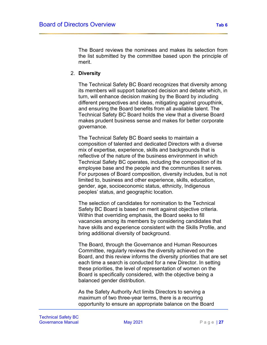The Board reviews the nominees and makes its selection from the list submitted by the committee based upon the principle of merit.

#### 2. **Diversity**

The Technical Safety BC Board recognizes that diversity among its members will support balanced decision and debate which, in turn, will enhance decision making by the Board by including different perspectives and ideas, mitigating against groupthink, and ensuring the Board benefits from all available talent. The Technical Safety BC Board holds the view that a diverse Board makes prudent business sense and makes for better corporate governance.

The Technical Safety BC Board seeks to maintain a composition of talented and dedicated Directors with a diverse mix of expertise, experience, skills and backgrounds that is reflective of the nature of the business environment in which Technical Safety BC operates, including the composition of its employee base and the people and the communities it serves. For purposes of Board composition, diversity includes, but is not limited to, business and other experience, skills, education, gender, age, socioeconomic status, ethnicity, Indigenous peoples' status, and geographic location.

The selection of candidates for nomination to the Technical Safety BC Board is based on merit against objective criteria. Within that overriding emphasis, the Board seeks to fill vacancies among its members by considering candidates that have skills and experience consistent with the Skills Profile, and bring additional diversity of background.

The Board, through the Governance and Human Resources Committee, regularly reviews the diversity achieved on the Board, and this review informs the diversity priorities that are set each time a search is conducted for a new Director. In setting these priorities, the level of representation of women on the Board is specifically considered, with the objective being a balanced gender distribution.

As the Safety Authority Act limits Directors to serving a maximum of two three-year terms, there is a recurring opportunity to ensure an appropriate balance on the Board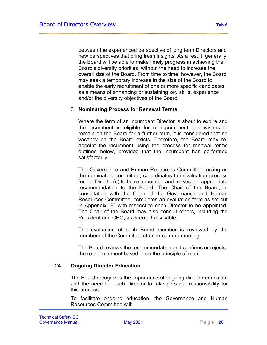between the experienced perspective of long term Directors and new perspectives that bring fresh insights. As a result, generally the Board will be able to make timely progress in achieving the Board's diversity priorities, without the need to increase the overall size of the Board. From time to time, however, the Board may seek a temporary increase in the size of the Board to enable the early recruitment of one or more specific candidates as a means of enhancing or sustaining key skills, experience and/or the diversity objectives of the Board.

#### 3. **Nominating Process for Renewal Terms**

Where the term of an incumbent Director is about to expire and the incumbent is eligible for re-appointment and wishes to remain on the Board for a further term, it is considered that no vacancy on the Board exists. Therefore, the Board may reappoint the incumbent using the process for renewal terms outlined below, provided that the incumbent has performed satisfactorily.

The Governance and Human Resources Committee, acting as the nominating committee, co-ordinates the evaluation process for the Director(s) to be re-appointed and makes the appropriate recommendation to the Board. The Chair of the Board, in consultation with the Chair of the Governance and Human Resources Committee, completes an evaluation form as set out in Appendix "E" with respect to each Director to be appointed. The Chair of the Board may also consult others, including the President and CEO, as deemed advisable.

The evaluation of each Board member is reviewed by the members of the Committee at an in-camera meeting*.*

The Board reviews the recommendation and confirms or rejects the re-appointment based upon the principle of merit.

#### 24. **Ongoing Director Education**

The Board recognizes the importance of ongoing director education and the need for each Director to take personal responsibility for this process.

To facilitate ongoing education, the Governance and Human Resources Committee will: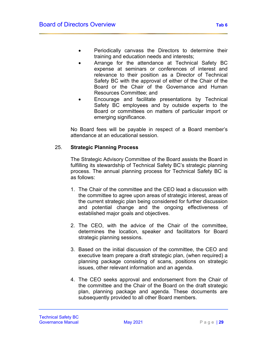- Periodically canvass the Directors to determine their training and education needs and interests;
- Arrange for the attendance at Technical Safety BC expense at seminars or conferences of interest and relevance to their position as a Director of Technical Safety BC with the approval of either of the Chair of the Board or the Chair of the Governance and Human Resources Committee; and
- Encourage and facilitate presentations by Technical Safety BC employees and by outside experts to the Board or committees on matters of particular import or emerging significance.

No Board fees will be payable in respect of a Board member's attendance at an educational session.

## 25. **Strategic Planning Process**

The Strategic Advisory Committee of the Board assists the Board in fulfilling its stewardship of Technical Safety BC's strategic planning process. The annual planning process for Technical Safety BC is as follows:

- 1. The Chair of the committee and the CEO lead a discussion with the committee to agree upon areas of strategic interest, areas of the current strategic plan being considered for further discussion and potential change and the ongoing effectiveness of established major goals and objectives.
- 2. The CEO, with the advice of the Chair of the committee, determines the location, speaker and facilitators for Board strategic planning sessions.
- 3. Based on the initial discussion of the committee, the CEO and executive team prepare a draft strategic plan, (when required) a planning package consisting of scans, positions on strategic issues, other relevant information and an agenda.
- 4. The CEO seeks approval and endorsement from the Chair of the committee and the Chair of the Board on the draft strategic plan, planning package and agenda. These documents are subsequently provided to all other Board members.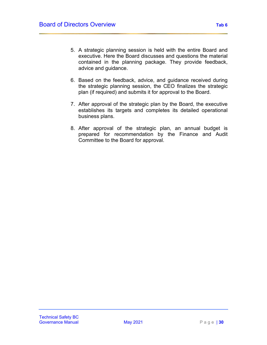- 5. A strategic planning session is held with the entire Board and executive. Here the Board discusses and questions the material contained in the planning package. They provide feedback, advice and guidance.
- 6. Based on the feedback, advice, and guidance received during the strategic planning session, the CEO finalizes the strategic plan (if required) and submits it for approval to the Board.
- 7. After approval of the strategic plan by the Board, the executive establishes its targets and completes its detailed operational business plans.
- 8. After approval of the strategic plan, an annual budget is prepared for recommendation by the Finance and Audit Committee to the Board for approval.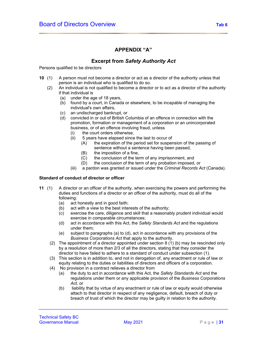# **APPENDIX "A"**

# **Excerpt from** *Safety Authority Act*

Persons qualified to be directors

- **10** (1) A person must not become a director or act as a director of the authority unless that person is an individual who is qualified to do so.
	- (2) An individual is not qualified to become a director or to act as a director of the authority if that individual is
		- (a) under the age of 18 years,
		- (b) found by a court, in Canada or elsewhere, to be incapable of managing the individual's own affairs,
		- (c) an undischarged bankrupt, or<br>(d) convicted in or out of British C
		- convicted in or out of British Columbia of an offence in connection with the promotion, formation or management of a corporation or an unincorporated business, or of an offence involving fraud, unless
			- (i) the court orders otherwise,
			- (ii)  $5$  years have elapsed since the last to occur of  $(A)$  the expiration of the period set for susper
				- the expiration of the period set for suspension of the passing of sentence without a sentence having been passed,
				- (B) the imposition of a fine,<br>(C) the conclusion of the ter
				- the conclusion of the term of any imprisonment, and
				- (D) the conclusion of the term of any probation imposed, or
			- (iii) a pardon was granted or issued under the *Criminal Records Act* (Canada).

#### **Standard of conduct of director or officer**

- **11** (1) A director or an officer of the authority, when exercising the powers and performing the duties and functions of a director or an officer of the authority, must do all of the following:
	- (a) act honestly and in good faith;
	- (b) act with a view to the best interests of the authority;
	- (c) exercise the care, diligence and skill that a reasonably prudent individual would exercise in comparable circumstances;
	- (d) act in accordance with this Act, the *Safety Standards Act* and the regulations under them;
	- (e) subject to paragraphs (a) to (d), act in accordance with any provisions of the *Business Corporations Act* that apply to the authority.
	- (2) The appointment of a director appointed under section 8 (1) (b) may be rescinded only by a resolution of more than 2/3 of all the directors, stating that they consider the director to have failed to adhere to a standard of conduct under subsection (1).
	- (3) This section is in addition to, and not in derogation of, any enactment or rule of law or equity relating to the duties or liabilities of directors and officers of a corporation.
	- (4) No provision in a contract relieves a director from
		- (a) the duty to act in accordance with this Act, the *Safety Standards Act* and the regulations under them or any applicable provision of the *Business Corporations Act*, or
		- (b) liability that by virtue of any enactment or rule of law or equity would otherwise attach to that director in respect of any negligence, default, breach of duty or breach of trust of which the director may be guilty in relation to the authority.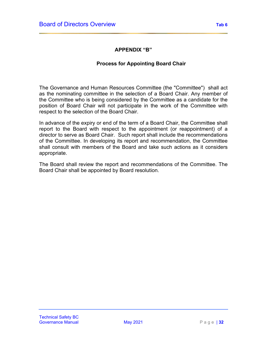# **APPENDIX "B"**

# **Process for Appointing Board Chair**

The Governance and Human Resources Committee (the "Committee") shall act as the nominating committee in the selection of a Board Chair. Any member of the Committee who is being considered by the Committee as a candidate for the position of Board Chair will not participate in the work of the Committee with respect to the selection of the Board Chair.

In advance of the expiry or end of the term of a Board Chair, the Committee shall report to the Board with respect to the appointment (or reappointment) of a director to serve as Board Chair. Such report shall include the recommendations of the Committee. In developing its report and recommendation, the Committee shall consult with members of the Board and take such actions as it considers appropriate.

The Board shall review the report and recommendations of the Committee. The Board Chair shall be appointed by Board resolution.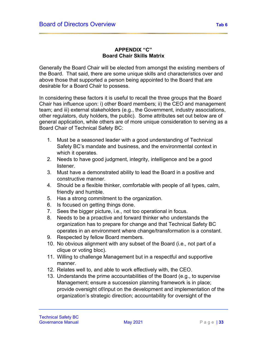## **APPENDIX "C" Board Chair Skills Matrix**

Generally the Board Chair will be elected from amongst the existing members of the Board. That said, there are some unique skills and characteristics over and above those that supported a person being appointed to the Board that are desirable for a Board Chair to possess.

In considering these factors it is useful to recall the three groups that the Board Chair has influence upon: i) other Board members; ii) the CEO and management team; and iii) external stakeholders (e.g., the Government, industry associations, other regulators, duty holders, the public). Some attributes set out below are of general application, while others are of more unique consideration to serving as a Board Chair of Technical Safety BC:

- 1. Must be a seasoned leader with a good understanding of Technical Safety BC's mandate and business, and the environmental context in which it operates.
- 2. Needs to have good judgment, integrity, intelligence and be a good listener.
- 3. Must have a demonstrated ability to lead the Board in a positive and constructive manner.
- 4. Should be a flexible thinker, comfortable with people of all types, calm, friendly and humble.
- 5. Has a strong commitment to the organization.
- 6. Is focused on getting things done.
- 7. Sees the bigger picture, i.e., not too operational in focus.
- 8. Needs to be a proactive and forward thinker who understands the organization has to prepare for change and that Technical Safety BC operates in an environment where change/transformation is a constant.
- 9. Respected by fellow Board members.
- 10. No obvious alignment with any subset of the Board (i.e., not part of a clique or voting bloc).
- 11. Willing to challenge Management but in a respectful and supportive manner.
- 12. Relates well to, and able to work effectively with, the CEO.
- 13. Understands the prime accountabilities of the Board (e.g., to supervise Management; ensure a succession planning framework is in place; provide oversight of/input on the development and implementation of the organization's strategic direction; accountability for oversight of the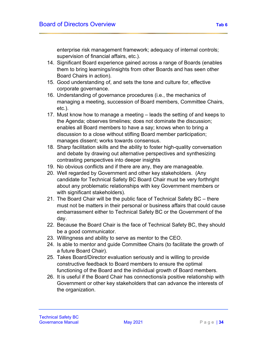enterprise risk management framework; adequacy of internal controls; supervision of financial affairs, etc.).

- 14. Significant Board experience gained across a range of Boards (enables them to bring learnings/insights from other Boards and has seen other Board Chairs in action).
- 15. Good understanding of, and sets the tone and culture for, effective corporate governance.
- 16. Understanding of governance procedures (i.e., the mechanics of managing a meeting, succession of Board members, Committee Chairs, etc.).
- 17. Must know how to manage a meeting leads the setting of and keeps to the Agenda; observes timelines; does not dominate the discussion; enables all Board members to have a say; knows when to bring a discussion to a close without stifling Board member participation; manages dissent; works towards consensus.
- 18. Sharp facilitation skills and the ability to foster high-quality conversation and debate by drawing out alternative perspectives and synthesizing contrasting perspectives into deeper insights
- 19. No obvious conflicts and if there are any, they are manageable.
- 20. Well regarded by Government and other key stakeholders. (Any candidate for Technical Safety BC Board Chair must be very forthright about any problematic relationships with key Government members or with significant stakeholders).
- 21. The Board Chair will be the public face of Technical Safety BC there must not be matters in their personal or business affairs that could cause embarrassment either to Technical Safety BC or the Government of the day.
- 22. Because the Board Chair is the face of Technical Safety BC, they should be a good communicator.
- 23. Willingness and ability to serve as mentor to the CEO.
- 24. Is able to mentor and guide Committee Chairs (to facilitate the growth of a future Board Chair).
- 25. Takes Board/Director evaluation seriously and is willing to provide constructive feedback to Board members to ensure the optimal functioning of the Board and the individual growth of Board members.
- 26. It is useful if the Board Chair has connections/a positive relationship with Government or other key stakeholders that can advance the interests of the organization.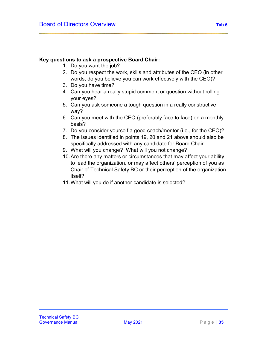## **Key questions to ask a prospective Board Chair:**

- 1. Do you want the job?
- 2. Do you respect the work, skills and attributes of the CEO (in other words, do you believe you can work effectively with the CEO)?
- 3. Do you have time?
- 4. Can you hear a really stupid comment or question without rolling your eyes?
- 5. Can you ask someone a tough question in a really constructive way?
- 6. Can you meet with the CEO (preferably face to face) on a monthly basis?
- 7. Do you consider yourself a good coach/mentor (i.e., for the CEO)?
- 8. The issues identified in points 19, 20 and 21 above should also be specifically addressed with any candidate for Board Chair.
- 9. What will you change? What will you not change?
- 10.Are there any matters or circumstances that may affect your ability to lead the organization, or may affect others' perception of you as Chair of Technical Safety BC or their perception of the organization itself?
- 11.What will you do if another candidate is selected?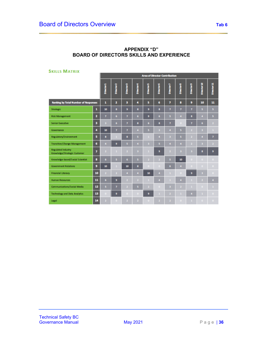| <b>SKILLS MATRIX</b>                                      |    |                |                                      |                |                         |                   |                   |            |                   |              |                    |                         |
|-----------------------------------------------------------|----|----------------|--------------------------------------|----------------|-------------------------|-------------------|-------------------|------------|-------------------|--------------|--------------------|-------------------------|
|                                                           |    |                | <b>Area of Director Contribution</b> |                |                         |                   |                   |            |                   |              |                    |                         |
|                                                           |    | Director1      | Director 2                           | Director 3     | Director 4              | <b>Director 5</b> | <b>Director 6</b> | Director 7 | <b>Director 8</b> | Director 9   | <b>Director 10</b> | Director 11             |
| <b>Ranking by Total Number of Responses</b>               |    | 1              | 2                                    | 3              | 4                       | 5                 | 6                 | 7          | 8                 | 9            | 10                 | 11                      |
| <b>Strategic</b>                                          | 1  | 10             | 8                                    | 9              | 8                       | 9                 | 8                 | 7          | 7                 | 7            | 5                  | 5.                      |
| <b>Risk Management</b>                                    | 2  | 7              | 6                                    | 7              | 6                       | 9                 | 6                 | 5          | 4                 | 8            | 4                  | 5.                      |
| <b>Senior Executive</b>                                   | з  | в              | 6                                    | 7              | s                       | 6                 | s                 | 7          | n                 | 7            | 6                  | $\mathbf{z}$            |
| Governance                                                | 4  | 10             | 7                                    | 7              | ٠                       | 5                 | в                 | ٠          | 5                 | ۰            | в                  |                         |
| Regulatory/Environment                                    | 5  | 8              |                                      | 8              | s                       |                   | 4                 | в          | 5                 | n            | 4                  | $\overline{\mathbf{z}}$ |
| <b>Transition/Change Management</b>                       | 6  | $\overline{4}$ | 9                                    | 5              | $\overline{4}$          | в                 | Б                 | ٠          | 4                 | z            | в                  | 2.                      |
| <b>Regulated Industry</b><br>Knowledge/Strategic Customer | 7  | $\overline{a}$ |                                      | 2              | з                       |                   | 9                 | z          | з                 | в            | 8                  | 9                       |
| Knowledge-based/Social Scientist                          | 8  | 6              | 5                                    | 6.             | s                       | $\mathbf{z}$      |                   | 5          | 10                | $\mathbf{a}$ | $\bullet$          | о.                      |
| <b>Government Relations</b>                               | 9  | 10             |                                      | 10             | s                       |                   | n                 | 6          | ٠                 |              | $\Box$             | 0.                      |
| <b>Financial Literacy</b>                                 | 10 | ,              |                                      | 4              | л                       | 10                | $\overline{4}$    | ٠          | n                 | 9            | в                  | п.                      |
| <b>Human Resources</b>                                    | 11 | 6              | 9                                    | $\overline{a}$ | $\overline{\mathbf{z}}$ |                   | 4                 | ٠          | 4                 |              | 2                  | 4                       |
| Communications/Social Media                               | 12 | 5              | 7                                    | z              | Б                       | 2.                | n                 | з          |                   |              | D                  |                         |
| <b>Technology and Data Analytics</b>                      | 13 |                | 9                                    |                | ۰                       | 9                 |                   |            |                   | ٠            |                    | п.                      |
| Legal                                                     | 14 |                |                                      | ٠              | z                       |                   | ,                 | ,          | n                 |              | $\Box$             | о.                      |

#### **APPENDIX "D" BOARD OF DIRECTORS SKILLS AND EXPERIENCE**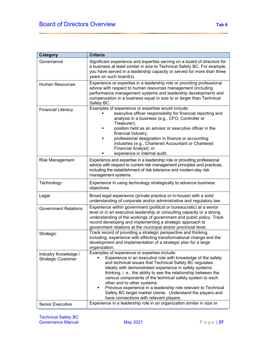| <b>Category</b>                                   | <b>Criteria</b>                                                                                                                                                                                                                                                                                                                                                                                                                                                                                                                                                                |
|---------------------------------------------------|--------------------------------------------------------------------------------------------------------------------------------------------------------------------------------------------------------------------------------------------------------------------------------------------------------------------------------------------------------------------------------------------------------------------------------------------------------------------------------------------------------------------------------------------------------------------------------|
| Governance                                        | Significant experience and expertise serving on a board of directors for<br>a business at least similar in size to Technical Safety BC. For example,<br>you have served in a leadership capacity or served for more than three<br>years on such board(s).                                                                                                                                                                                                                                                                                                                      |
| <b>Human Resources</b>                            | Experience or expertise in a leadership role or providing professional<br>advice with respect to human resources management (including<br>performance management systems and leadership development) and<br>compensation in a business equal in size to or larger than Technical<br>Safety BC.                                                                                                                                                                                                                                                                                 |
| <b>Financial Literacy</b>                         | Examples of experience or expertise would include:<br>executive officer responsibility for financial reporting and<br>analysis in a business (e.g., CFO, Controller or<br>Treasurer);<br>position held as an advisor or executive officer in the<br>financial industry;<br>professional designation in finance or accounting<br>industries (e.g., Chartered Accountant or Chartered<br>Financial Analyst); or<br>experience in internal audit.                                                                                                                                 |
| <b>Risk Management</b>                            | Experience and expertise in a leadership role or providing professional<br>advice with respect to current risk management principles and practices,<br>including the establishment of risk tolerance and modern-day risk<br>management systems.                                                                                                                                                                                                                                                                                                                                |
| Technology                                        | Experience in using technology strategically to advance business<br>objectives.                                                                                                                                                                                                                                                                                                                                                                                                                                                                                                |
| Legal                                             | Broad legal experience (private practice or in-house) with a solid<br>understanding of corporate and/or administrative and regulatory law.                                                                                                                                                                                                                                                                                                                                                                                                                                     |
| <b>Government Relations</b>                       | Experience within government (political or bureaucratic) at a senior<br>level or in an executive leadership or consulting capacity or a strong<br>understanding of the workings of government and public policy. Track<br>record developing and implementing a strategic approach to<br>government relations at the municipal and/or provincial level.                                                                                                                                                                                                                         |
| Strategic                                         | Track record of providing a strategic perspective and thinking,<br>including; experience with effecting transformational change and the<br>development and implementation of a strategic plan for a large<br>organization.                                                                                                                                                                                                                                                                                                                                                     |
| Industry Knowledge /<br><b>Strategic Customer</b> | Examples of experience or expertise include:<br>Experience in an executive role with knowledge of the safety<br>and technical issues that Technical Safety BC regulates.<br>Ideally with demonstrated experience in safety systems<br>thinking, i. e., the ability to see the relationship between the<br>various components of the technical safety system to each<br>other and to other systems.<br>Previous experience in a leadership role relevant to Technical<br>Safety BC target market clients. Understand the players and<br>have connections with relevant players. |
| Senior Executive                                  | Experience in a leadership role in an organization similar in size or                                                                                                                                                                                                                                                                                                                                                                                                                                                                                                          |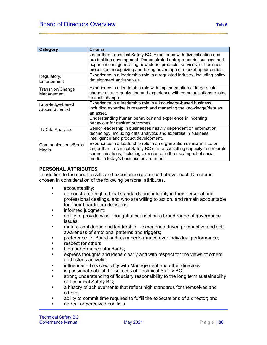| Category                             | <b>Criteria</b>                                                                                                                                                                                                                                                                            |
|--------------------------------------|--------------------------------------------------------------------------------------------------------------------------------------------------------------------------------------------------------------------------------------------------------------------------------------------|
|                                      | larger than Technical Safety BC. Experience with diversification and<br>product line development. Demonstrated entrepreneurial success and<br>experience in: generating new ideas, products, services, or business<br>processes; recognizing and taking advantage of market opportunities. |
| Regulatory/<br>Enforcement           | Experience in a leadership role in a regulated industry, including policy<br>development and analysis.                                                                                                                                                                                     |
| Transition/Change<br>Management      | Experience in a leadership role with implementation of large-scale<br>change at an organization and experience with communications related<br>to such change.                                                                                                                              |
| Knowledge-based<br>/Social Scientist | Experience in a leadership role in a knowledge-based business,<br>including expertise in research and managing the knowledge/data as<br>an asset.<br>Understanding human behaviour and experience in incenting<br>behaviour for desired outcomes.                                          |
| <b>IT/Data Analytics</b>             | Senior leadership in businesses heavily dependent on information<br>technology, including data analytics and expertise in business<br>intelligence and product development.                                                                                                                |
| Communications/Social<br>Media       | Experience in a leadership role in an organization similar in size or<br>larger than Technical Safety BC or in a consulting capacity in corporate<br>communications, including experience in the use/impact of social<br>media in today's business environment.                            |

#### **PERSONAL ATTRIBUTES**

In addition to the specific skills and experience referenced above, each Director is chosen in consideration of the following personal attributes.

- accountability;
- demonstrated high ethical standards and integrity in their personal and professional dealings, and who are willing to act on, and remain accountable for, their boardroom decisions;
- informed judgment;
- ability to provide wise, thoughtful counsel on a broad range of governance issues;
- mature confidence and leadership experience-driven perspective and selfawareness of emotional patterns and triggers;
- preference for Board and team performance over individual performance;
- respect for others;
- high performance standards;
- express thoughts and ideas clearly and with respect for the views of others and listens actively;
- influencer has credibility with Management and other directors;
- is passionate about the success of Technical Safety BC;
- strong understanding of fiduciary responsibility to the long term sustainability of Technical Safety BC;
- a history of achievements that reflect high standards for themselves and others;
- ability to commit time required to fulfill the expectations of a director; and
- no real or perceived conflicts.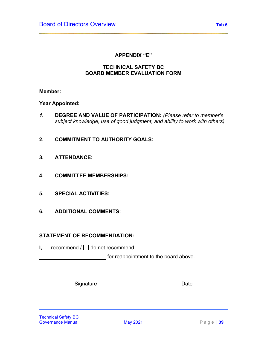### **APPENDIX "E"**

# **TECHNICAL SAFETY BC BOARD MEMBER EVALUATION FORM**

**Member:**

**Year Appointed:**

- *1.* **DEGREE AND VALUE OF PARTICIPATION:** *(Please refer to member's subject knowledge, use of good judgment, and ability to work with others)*
- **2. COMMITMENT TO AUTHORITY GOALS:**
- **3. ATTENDANCE:**
- **4. COMMITTEE MEMBERSHIPS:**
- **5. SPECIAL ACTIVITIES:**
- **6. ADDITIONAL COMMENTS:**

# **STATEMENT OF RECOMMENDATION:**

**I,**  $\Box$  recommend /  $\Box$  do not recommend

for reappointment to the board above.

Signature Date Date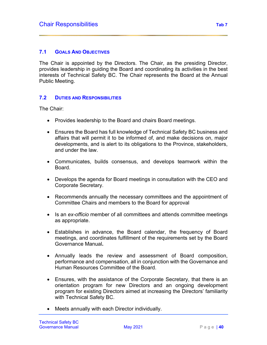# **7.1 GOALS AND OBJECTIVES**

The Chair is appointed by the Directors. The Chair, as the presiding Director, provides leadership in guiding the Board and coordinating its activities in the best interests of Technical Safety BC. The Chair represents the Board at the Annual Public Meeting.

### **7.2 DUTIES AND RESPONSIBILITIES**

The Chair:

- Provides leadership to the Board and chairs Board meetings.
- Ensures the Board has full knowledge of Technical Safety BC business and affairs that will permit it to be informed of, and make decisions on, major developments, and is alert to its obligations to the Province, stakeholders, and under the law.
- Communicates, builds consensus, and develops teamwork within the Board.
- Develops the agenda for Board meetings in consultation with the CEO and Corporate Secretary.
- Recommends annually the necessary committees and the appointment of Committee Chairs and members to the Board for approval
- Is an *ex-officio* member of all committees and attends committee meetings as appropriate.
- Establishes in advance, the Board calendar, the frequency of Board meetings, and coordinates fulfillment of the requirements set by the Board Governance Manual**.**
- Annually leads the review and assessment of Board composition, performance and compensation, all in conjunction with the Governance and Human Resources Committee of the Board.
- Ensures, with the assistance of the Corporate Secretary, that there is an orientation program for new Directors and an ongoing development program for existing Directors aimed at increasing the Directors' familiarity with Technical Safety BC.
- Meets annually with each Director individually.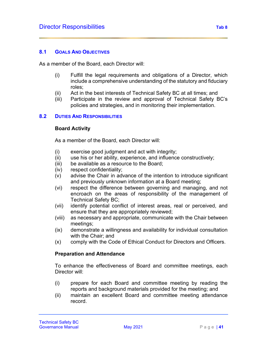#### **8.1 GOALS AND OBJECTIVES**

As a member of the Board, each Director will:

- (i) Fulfill the legal requirements and obligations of a Director, which include a comprehensive understanding of the statutory and fiduciary roles;
- (ii) Act in the best interests of Technical Safety BC at all times; and
- (iii) Participate in the review and approval of Technical Safety BC's policies and strategies, and in monitoring their implementation.

#### **8.2 DUTIES AND RESPONSIBILITIES**

#### **Board Activity**

As a member of the Board, each Director will:

- (i) exercise good judgment and act with integrity;
- (ii) use his or her ability, experience, and influence constructively;
- (iii) be available as a resource to the Board;
- (iv) respect confidentiality;
- (v) advise the Chair in advance of the intention to introduce significant and previously unknown information at a Board meeting;
- (vi) respect the difference between governing and managing, and not encroach on the areas of responsibility of the management of Technical Safety BC;
- (vii) identify potential conflict of interest areas, real or perceived, and ensure that they are appropriately reviewed;
- (viii) as necessary and appropriate, communicate with the Chair between meetings;
- (ix) demonstrate a willingness and availability for individual consultation with the Chair; and
- (x) comply with the Code of Ethical Conduct for Directors and Officers.

#### **Preparation and Attendance**

To enhance the effectiveness of Board and committee meetings, each Director will:

- (i) prepare for each Board and committee meeting by reading the reports and background materials provided for the meeting; and
- (ii) maintain an excellent Board and committee meeting attendance record.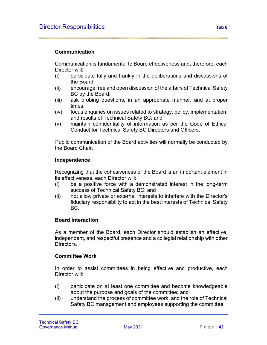### **Communication**

Communication is fundamental to Board effectiveness and, therefore, each Director will:

- (i) participate fully and frankly in the deliberations and discussions of the Board;
- (ii) encourage free and open discussion of the affairs of Technical Safety BC by the Board;
- (iii) ask probing questions, in an appropriate manner, and at proper times;
- (iv) focus enquiries on issues related to strategy, policy, implementation, and results of Technical Safety BC; and
- (v) maintain confidentiality of information as per the Code of Ethical Conduct for Technical Safety BC Directors and Officers.

Public communication of the Board activities will normally be conducted by the Board Chair.

#### **Independence**

Recognizing that the cohesiveness of the Board is an important element in its effectiveness, each Director will:

- (i) be a positive force with a demonstrated interest in the long-term success of Technical Safety BC; and
- (ii) not allow private or external interests to interfere with the Director's fiduciary responsibility to act in the best interests of Technical Safety BC.

#### **Board Interaction**

As a member of the Board, each Director should establish an effective, independent, and respectful presence and a collegial relationship with other Directors.

#### **Committee Work**

In order to assist committees in being effective and productive, each Director will:

- (i) participate on at least one committee and become knowledgeable about the purpose and goals of the committee; and
- (ii) understand the process of committee work, and the role of Technical Safety BC management and employees supporting the committee.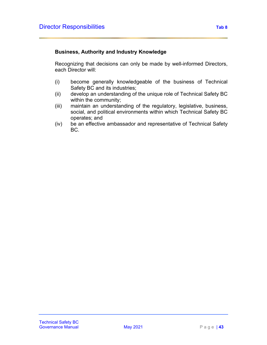# **Business, Authority and Industry Knowledge**

Recognizing that decisions can only be made by well-informed Directors, each Director will:

- (i) become generally knowledgeable of the business of Technical Safety BC and its industries;
- (ii) develop an understanding of the unique role of Technical Safety BC within the community;
- (iii) maintain an understanding of the regulatory, legislative, business, social, and political environments within which Technical Safety BC operates; and
- (iv) be an effective ambassador and representative of Technical Safety BC.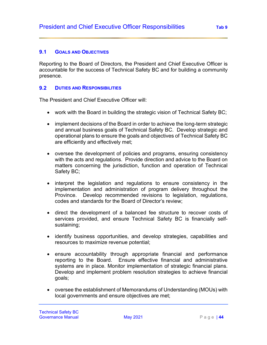# **9.1 GOALS AND OBJECTIVES**

Reporting to the Board of Directors, the President and Chief Executive Officer is accountable for the success of Technical Safety BC and for building a community presence.

# **9.2 DUTIES AND RESPONSIBILITIES**

The President and Chief Executive Officer will:

- work with the Board in building the strategic vision of Technical Safety BC;
- implement decisions of the Board in order to achieve the long-term strategic and annual business goals of Technical Safety BC. Develop strategic and operational plans to ensure the goals and objectives of Technical Safety BC are efficiently and effectively met;
- oversee the development of policies and programs, ensuring consistency with the acts and regulations. Provide direction and advice to the Board on matters concerning the jurisdiction, function and operation of Technical Safety BC;
- interpret the legislation and regulations to ensure consistency in the implementation and administration of program delivery throughout the Province. Develop recommended revisions to legislation, regulations, codes and standards for the Board of Director's review;
- direct the development of a balanced fee structure to recover costs of services provided, and ensure Technical Safety BC is financially selfsustaining;
- identify business opportunities, and develop strategies, capabilities and resources to maximize revenue potential;
- ensure accountability through appropriate financial and performance reporting to the Board. Ensure effective financial and administrative systems are in place. Monitor implementation of strategic financial plans. Develop and implement problem resolution strategies to achieve financial goals;
- oversee the establishment of Memorandums of Understanding (MOUs) with local governments and ensure objectives are met;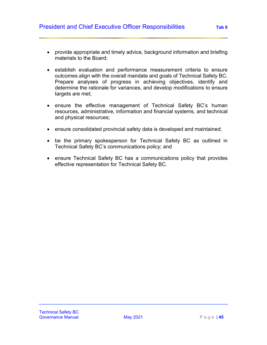- provide appropriate and timely advice, background information and briefing materials to the Board;
- establish evaluation and performance measurement criteria to ensure outcomes align with the overall mandate and goals of Technical Safety BC. Prepare analyses of progress in achieving objectives, identify and determine the rationale for variances, and develop modifications to ensure targets are met:
- ensure the effective management of Technical Safety BC's human resources, administrative, information and financial systems, and technical and physical resources;
- ensure consolidated provincial safety data is developed and maintained;
- be the primary spokesperson for Technical Safety BC as outlined in Technical Safety BC's communications policy; and
- ensure Technical Safety BC has a communications policy that provides effective representation for Technical Safety BC.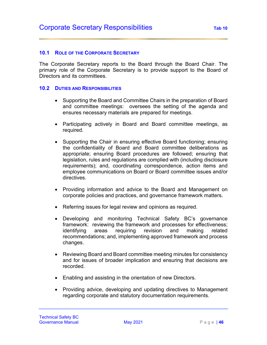#### **10.1 ROLE OF THE CORPORATE SECRETARY**

The Corporate Secretary reports to the Board through the Board Chair. The primary role of the Corporate Secretary is to provide support to the Board of Directors and its committees.

#### **10.2 DUTIES AND RESPONSIBILITIES**

- Supporting the Board and Committee Chairs in the preparation of Board and committee meetings: oversees the setting of the agenda and ensures necessary materials are prepared for meetings.
- Participating actively in Board and Board committee meetings, as required.
- Supporting the Chair in ensuring effective Board functioning; ensuring the confidentiality of Board and Board committee deliberations as appropriate; ensuring Board procedures are followed; ensuring that legislation, rules and regulations are complied with (including disclosure requirements); and, coordinating correspondence, action items and employee communications on Board or Board committee issues and/or directives.
- Providing information and advice to the Board and Management on corporate policies and practices, and governance framework matters.
- Referring issues for legal review and opinions as required.
- Developing and monitoring Technical Safety BC's governance framework: reviewing the framework and processes for effectiveness; identifying areas requiring revision and making related recommendations; and, implementing approved framework and process changes.
- Reviewing Board and Board committee meeting minutes for consistency and for issues of broader implication and ensuring that decisions are recorded.
- Enabling and assisting in the orientation of new Directors.
- Providing advice, developing and updating directives to Management regarding corporate and statutory documentation requirements.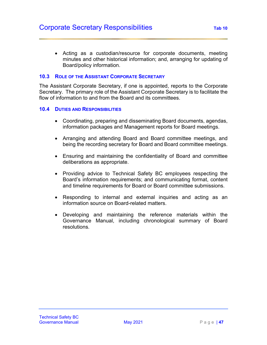• Acting as a custodian/resource for corporate documents, meeting minutes and other historical information; and, arranging for updating of Board/policy information.

## **10.3 ROLE OF THE ASSISTANT CORPORATE SECRETARY**

The Assistant Corporate Secretary, if one is appointed, reports to the Corporate Secretary. The primary role of the Assistant Corporate Secretary is to facilitate the flow of information to and from the Board and its committees

#### **10.4 DUTIES AND RESPONSIBILITIES**

- Coordinating, preparing and disseminating Board documents, agendas, information packages and Management reports for Board meetings.
- Arranging and attending Board and Board committee meetings, and being the recording secretary for Board and Board committee meetings.
- Ensuring and maintaining the confidentiality of Board and committee deliberations as appropriate.
- Providing advice to Technical Safety BC employees respecting the Board's information requirements; and communicating format, content and timeline requirements for Board or Board committee submissions.
- Responding to internal and external inquiries and acting as an information source on Board-related matters.
- Developing and maintaining the reference materials within the Governance Manual, including chronological summary of Board resolutions.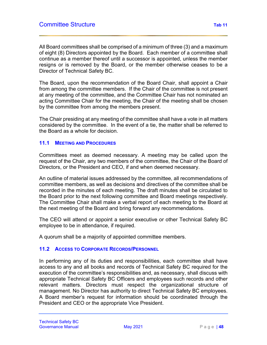All Board committees shall be comprised of a minimum of three (3) and a maximum of eight (8) Directors appointed by the Board. Each member of a committee shall continue as a member thereof until a successor is appointed, unless the member resigns or is removed by the Board, or the member otherwise ceases to be a Director of Technical Safety BC.

The Board, upon the recommendation of the Board Chair, shall appoint a Chair from among the committee members. If the Chair of the committee is not present at any meeting of the committee, and the Committee Chair has not nominated an acting Committee Chair for the meeting, the Chair of the meeting shall be chosen by the committee from among the members present.

The Chair presiding at any meeting of the committee shall have a vote in all matters considered by the committee. In the event of a tie, the matter shall be referred to the Board as a whole for decision.

#### **11.1 MEETING AND PROCEDURES**

Committees meet as deemed necessary. A meeting may be called upon the request of the Chair, any two members of the committee, the Chair of the Board of Directors, or the President and CEO, if and when deemed necessary.

An outline of material issues addressed by the committee, all recommendations of committee members, as well as decisions and directives of the committee shall be recorded in the minutes of each meeting. The draft minutes shall be circulated to the Board prior to the next following committee and Board meetings respectively. The Committee Chair shall make a verbal report of each meeting to the Board at the next meeting of the Board and bring forward any recommendations.

The CEO will attend or appoint a senior executive or other Technical Safety BC employee to be in attendance, if required.

A quorum shall be a majority of appointed committee members.

# **11.2 ACCESS TO CORPORATE RECORDS/PERSONNEL**

In performing any of its duties and responsibilities, each committee shall have access to any and all books and records of Technical Safety BC required for the execution of the committee's responsibilities and, as necessary, shall discuss with appropriate Technical Safety BC Officers and employees such records and other relevant matters. Directors must respect the organizational structure of management. No Director has authority to direct Technical Safety BC employees. A Board member's request for information should be coordinated through the President and CEO or the appropriate Vice President.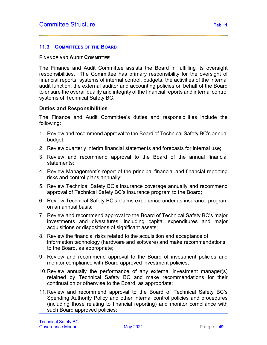### **11.3 COMMITTEES OF THE BOARD**

#### **FINANCE AND AUDIT COMMITTEE**

The Finance and Audit Committee assists the Board in fulfilling its oversight responsibilities. The Committee has primary responsibility for the oversight of financial reports, systems of internal control, budgets, the activities of the internal audit function, the external auditor and accounting policies on behalf of the Board to ensure the overall quality and integrity of the financial reports and internal control systems of Technical Safety BC.

#### **Duties and Responsibilities**

The Finance and Audit Committee's duties and responsibilities include the following:

- 1. Review and recommend approval to the Board of Technical Safety BC's annual budget;
- 2. Review quarterly interim financial statements and forecasts for internal use;
- 3. Review and recommend approval to the Board of the annual financial statements;
- 4. Review Management's report of the principal financial and financial reporting risks and control plans annually;
- 5. Review Technical Safety BC's insurance coverage annually and recommend approval of Technical Safety BC's insurance program to the Board;
- 6. Review Technical Safety BC's claims experience under its insurance program on an annual basis;
- 7. Review and recommend approval to the Board of Technical Safety BC's major investments and divestitures, including capital expenditures and major acquisitions or dispositions of significant assets;
- 8. Review the financial risks related to the acquisition and acceptance of information technology (hardware and software) and make recommendations to the Board, as appropriate;
- 9. Review and recommend approval to the Board of investment policies and monitor compliance with Board approved investment policies;
- 10.Review annually the performance of any external investment manager(s) retained by Technical Safety BC and make recommendations for their continuation or otherwise to the Board, as appropriate;
- 11.Review and recommend approval to the Board of Technical Safety BC's Spending Authority Policy and other internal control policies and procedures (including those relating to financial reporting) and monitor compliance with such Board approved policies;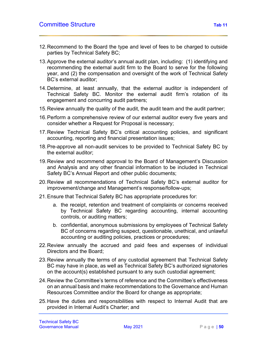- 12.Recommend to the Board the type and level of fees to be charged to outside parties by Technical Safety BC;
- 13.Approve the external auditor's annual audit plan, including: (1) identifying and recommending the external audit firm to the Board to serve for the following year, and (2) the compensation and oversight of the work of Technical Safety BC's external auditor;
- 14.Determine, at least annually, that the external auditor is independent of Technical Safety BC. Monitor the external audit firm's rotation of its engagement and concurring audit partners;
- 15.Review annually the quality of the audit, the audit team and the audit partner;
- 16.Perform a comprehensive review of our external auditor every five years and consider whether a Request for Proposal is necessary;
- 17.Review Technical Safety BC's critical accounting policies, and significant accounting, reporting and financial presentation issues;
- 18.Pre-approve all non-audit services to be provided to Technical Safety BC by the external auditor;
- 19.Review and recommend approval to the Board of Management's Discussion and Analysis and any other financial information to be included in Technical Safety BC's Annual Report and other public documents;
- 20.Review all recommendations of Technical Safety BC's external auditor for improvement/change and Management's response/follow-ups;
- 21.Ensure that Technical Safety BC has appropriate procedures for:
	- a. the receipt, retention and treatment of complaints or concerns received by Technical Safety BC regarding accounting, internal accounting controls, or auditing matters;
	- b. confidential, anonymous submissions by employees of Technical Safety BC of concerns regarding suspect, questionable, unethical, and unlawful accounting or auditing policies, practices or procedures;
- 22.Review annually the accrued and paid fees and expenses of individual Directors and the Board;
- 23.Review annually the terms of any custodial agreement that Technical Safety BC may have in place, as well as Technical Safety BC's authorized signatories on the account(s) established pursuant to any such custodial agreement;
- 24.Review the Committee's terms of reference and the Committee's effectiveness on an annual basis and make recommendations to the Governance and Human Resources Committee and/or the Board for change as appropriate;
- 25.Have the duties and responsibilities with respect to Internal Audit that are provided in Internal Audit's Charter; and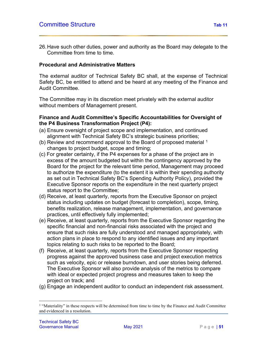26.Have such other duties, power and authority as the Board may delegate to the Committee from time to time.

#### **Procedural and Administrative Matters**

The external auditor of Technical Safety BC shall, at the expense of Technical Safety BC, be entitled to attend and be heard at any meeting of the Finance and Audit Committee.

The Committee may in its discretion meet privately with the external auditor without members of Management present.

#### **Finance and Audit Committee's Specific Accountabilities for Oversight of the P4 Business Transformation Project (P4):**

- (a) Ensure oversight of project scope and implementation, and continued alignment with Technical Safety BC's strategic business priorities;
- (b) Review and recommend approval to the Board of proposed material <sup>[1](#page-56-0)</sup> changes to project budget, scope and timing;
- (c) For greater certainty, if the P4 expenses for a phase of the project are in excess of the amount budgeted but within the contingency approved by the Board for the project for the relevant time period, Management may proceed to authorize the expenditure (to the extent it is within their spending authority as set out in Technical Safety BC's Spending Authority Policy), provided the Executive Sponsor reports on the expenditure in the next quarterly project status report to the Committee;
- (d) Receive, at least quarterly, reports from the Executive Sponsor on project status including updates on budget (forecast to completion), scope, timing, benefits realization, release management, implementation, and governance practices, until effectively fully implemented;
- (e) Receive, at least quarterly, reports from the Executive Sponsor regarding the specific financial and non-financial risks associated with the project and ensure that such risks are fully understood and managed appropriately, with action plans in place to respond to any identified issues and any important topics relating to such risks to be reported to the Board;
- (f) Receive, at least quarterly, reports from the Executive Sponsor respecting progress against the approved business case and project execution metrics such as velocity, epic or release burndown, and user stories being deferred. The Executive Sponsor will also provide analysis of the metrics to compare with ideal or expected project progress and measures taken to keep the project on track; and
- (g) Engage an independent auditor to conduct an independent risk assessment.

<span id="page-56-0"></span><sup>&</sup>lt;sup>1</sup> "Materiality" in these respects will be determined from time to time by the Finance and Audit Committee and evidenced in a resolution.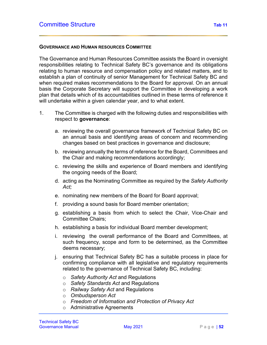#### **GOVERNANCE AND HUMAN RESOURCES COMMITTEE**

The Governance and Human Resources Committee assists the Board in oversight responsibilities relating to Technical Safety BC's governance and its obligations relating to human resource and compensation policy and related matters, and to establish a plan of continuity of senior Management for Technical Safety BC and when required makes recommendations to the Board for approval. On an annual basis the Corporate Secretary will support the Committee in developing a work plan that details which of its accountabilities outlined in these terms of reference it will undertake within a given calendar year, and to what extent.

- 1. The Committee is charged with the following duties and responsibilities with respect to **governance**:
	- a. reviewing the overall governance framework of Technical Safety BC on an annual basis and identifying areas of concern and recommending changes based on best practices in governance and disclosure;
	- b. reviewing annually the terms of reference for the Board, Committees and the Chair and making recommendations accordingly;
	- c. reviewing the skills and experience of Board members and identifying the ongoing needs of the Board;
	- d. acting as the Nominating Committee as required by the *Safety Authority Act;*
	- e. nominating new members of the Board for Board approval;
	- f. providing a sound basis for Board member orientation;
	- g. establishing a basis from which to select the Chair, Vice-Chair and Committee Chairs;
	- h. establishing a basis for individual Board member development;
	- i. reviewing the overall performance of the Board and Committees, at such frequency, scope and form to be determined, as the Committee deems necessary;
	- j. ensuring that Technical Safety BC has a suitable process in place for confirming compliance with all legislative and regulatory requirements related to the governance of Technical Safety BC, including:
		- o *Safety Authority Act* and Regulations
		- o *Safety Standards Act* and Regulations
		- o *Railway Safety Act* and Regulations
		- o *Ombudsperson Act*
		- o *Freedom of Information and Protection of Privacy Act*
		- o Administrative Agreements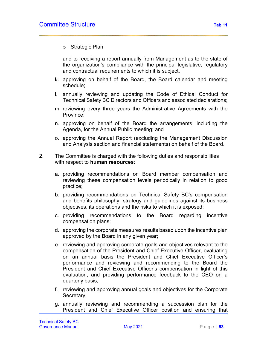o Strategic Plan

and to receiving a report annually from Management as to the state of the organization's compliance with the principal legislative, regulatory and contractual requirements to which it is subject.

- k. approving on behalf of the Board, the Board calendar and meeting schedule;
- l. annually reviewing and updating the Code of Ethical Conduct for Technical Safety BC Directors and Officers and associated declarations;
- m. reviewing every three years the Administrative Agreements with the Province;
- n. approving on behalf of the Board the arrangements, including the Agenda, for the Annual Public meeting; and
- o. approving the Annual Report (excluding the Management Discussion and Analysis section and financial statements) on behalf of the Board.
- 2. The Committee is charged with the following duties and responsibilities with respect to **human resources**:
	- a. providing recommendations on Board member compensation and reviewing these compensation levels periodically in relation to good practice;
	- b. providing recommendations on Technical Safety BC's compensation and benefits philosophy, strategy and guidelines against its business objectives, its operations and the risks to which it is exposed;
	- c. providing recommendations to the Board regarding incentive compensation plans;
	- d. approving the corporate measures results based upon the incentive plan approved by the Board in any given year;
	- e. reviewing and approving corporate goals and objectives relevant to the compensation of the President and Chief Executive Officer, evaluating on an annual basis the President and Chief Executive Officer's performance and reviewing and recommending to the Board the President and Chief Executive Officer's compensation in light of this evaluation, and providing performance feedback to the CEO on a quarterly basis;
	- f. reviewing and approving annual goals and objectives for the Corporate Secretary;
	- g. annually reviewing and recommending a succession plan for the President and Chief Executive Officer position and ensuring that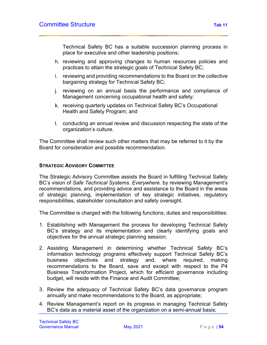Technical Safety BC has a suitable succession planning process in place for executive and other leadership positions;

- h. reviewing and approving changes to human resources policies and practices to attain the strategic goals of Technical Safety BC;
- i. reviewing and providing recommendations to the Board on the collective bargaining strategy for Technical Safety BC;
- j. reviewing on an annual basis the performance and compliance of Management concerning occupational health and safety;
- k. receiving quarterly updates on Technical Safety BC's Occupational Health and Safety Program; and
- l. conducting an annual review and discussion respecting the state of the organization's culture.

The Committee shall review such other matters that may be referred to it by the Board for consideration and possible recommendation.

### **STRATEGIC ADVISORY COMMITTEE**

The Strategic Advisory Committee assists the Board in fulfilling Technical Safety BC's vision of *Safe Technical Systems. Everywhere.* by reviewing Management's recommendations, and providing advice and assistance to the Board in the areas of strategic planning, implementation of key strategic initiatives, regulatory responsibilities, stakeholder consultation and safety oversight.

The Committee is charged with the following functions, duties and responsibilities:

- 1. Establishing with Management the process for developing Technical Safety BC's strategy and its implementation and clearly identifying goals and objectives for the annual strategic planning session;
- 2. Assisting Management in determining whether Technical Safety BC's information technology programs effectively support Technical Safety BC's business objectives and strategy and, where required, making recommendations to the Board, save and except with respect to the P4 Business Transformation Project, which for efficient governance including budget, will reside with the Finance and Audit Committee;
- 3. Review the adequacy of Technical Safety BC's data governance program annually and make recommendations to the Board, as appropriate;
- 4. Review Management's report on its progress in managing Technical Safety BC's data as a material asset of the organization on a semi-annual basis;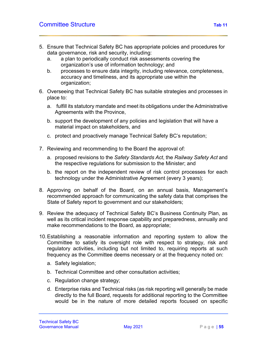- 5. Ensure that Technical Safety BC has appropriate policies and procedures for data governance, risk and security, including:
	- a. a plan to periodically conduct risk assessments covering the organization's use of information technology; and
	- b. processes to ensure data integrity, including relevance, completeness, accuracy and timeliness, and its appropriate use within the organization;
- 6. Overseeing that Technical Safety BC has suitable strategies and processes in place to:
	- a. fulfill its statutory mandate and meet its obligations under the Administrative Agreements with the Province,
	- b. support the development of any policies and legislation that will have a material impact on stakeholders, and
	- c. protect and proactively manage Technical Safety BC's reputation;
- 7. Reviewing and recommending to the Board the approval of:
	- a. proposed revisions to the *Safety Standards Act*, the *Railway Safety Act* and the respective regulations for submission to the Minister; and
	- b. the report on the independent review of risk control processes for each technology under the Administrative Agreement (every 3 years);
- 8. Approving on behalf of the Board, on an annual basis, Management's recommended approach for communicating the safety data that comprises the State of Safety report to government and our stakeholders;
- 9. Review the adequacy of Technical Safety BC's Business Continuity Plan, as well as its critical incident response capability and preparedness, annually and make recommendations to the Board, as appropriate;
- 10.Establishing a reasonable information and reporting system to allow the Committee to satisfy its oversight role with respect to strategy, risk and regulatory activities, including but not limited to, requiring reports at such frequency as the Committee deems necessary or at the frequency noted on:
	- a. Safety legislation;
	- b. Technical Committee and other consultation activities;
	- c. Regulation change strategy;
	- d. Enterprise risks and Technical risks (as risk reporting will generally be made directly to the full Board, requests for additional reporting to the Committee would be in the nature of more detailed reports focused on specific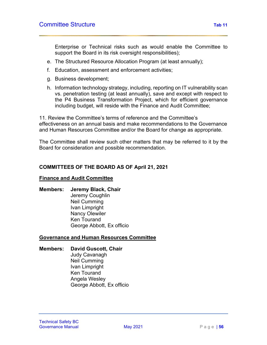Enterprise or Technical risks such as would enable the Committee to support the Board in its risk oversight responsibilities);

- e. The Structured Resource Allocation Program (at least annually);
- f. Education, assessment and enforcement activities;
- g. Business development;
- h. Information technology strategy, including, reporting on IT vulnerability scan vs. penetration testing (at least annually), save and except with respect to the P4 Business Transformation Project, which for efficient governance including budget, will reside with the Finance and Audit Committee;

11. Review the Committee's terms of reference and the Committee's effectiveness on an annual basis and make recommendations to the Governance and Human Resources Committee and/or the Board for change as appropriate.

The Committee shall review such other matters that may be referred to it by the Board for consideration and possible recommendation.

### **COMMITTEES OF THE BOARD AS OF April 21, 2021**

#### **Finance and Audit Committee**

#### **Members: Jeremy Black, Chair**

Jeremy Coughlin Neil Cumming Ivan Limpright Nancy Olewiler Ken Tourand George Abbott, Ex officio

#### **Governance and Human Resources Committee**

#### **Members: David Guscott, Chair**

Judy Cavanagh Neil Cumming Ivan Limpright Ken Tourand Angela Wesley George Abbott, Ex officio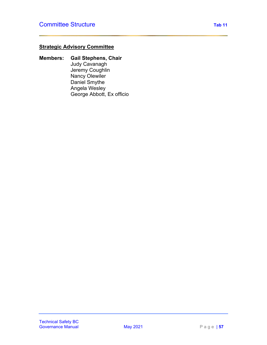# **Strategic Advisory Committee**

**Members: Gail Stephens, Chair** Judy Cavanagh Jeremy Coughlin Nancy Olewiler Daniel Smythe Angela Wesley George Abbott, Ex officio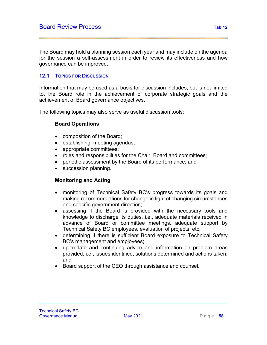The Board may hold a planning session each year and may include on the agenda for the session a self-assessment in order to review its effectiveness and how governance can be improved.

# **12.1 TOPICS FOR DISCUSSION**

Information that may be used as a basis for discussion includes, but is not limited to, the Board role in the achievement of corporate strategic goals and the achievement of Board governance objectives.

The following topics may also serve as useful discussion tools:

# **Board Operations**

- composition of the Board;
- establishing meeting agendas;
- appropriate committees:
- roles and responsibilities for the Chair, Board and committees;
- periodic assessment by the Board of its performance; and
- succession planning.

# **Monitoring and Acting**

- monitoring of Technical Safety BC's progress towards its goals and making recommendations for change in light of changing circumstances and specific government direction;
- assessing if the Board is provided with the necessary tools and knowledge to discharge its duties, i.e., adequate materials received in advance of Board or committee meetings, adequate support by Technical Safety BC employees, evaluation of projects, etc;
- determining if there is sufficient Board exposure to Technical Safety BC's management and employees;
- up-to-date and continuing advice and information on problem areas provided, i.e., issues identified, solutions determined and actions taken; and
- Board support of the CEO through assistance and counsel.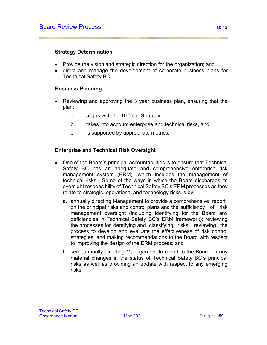# **Strategy Determination**

- Provide the vision and strategic direction for the organization; and
- direct and manage the development of corporate business plans for Technical Safety BC.

# **Business Planning**

- Reviewing and approving the 3 year business plan, ensuring that the plan:
	- a. aligns with the 10 Year Strategy,
	- b. takes into account enterprise and technical risks, and
	- c. is supported by appropriate metrics.

# **Enterprise and Technical Risk Oversight**

- One of the Board's principal accountabilities is to ensure that Technical Safety BC has an adequate and comprehensive enterprise risk management system (ERM), which includes the management of technical risks. Some of the ways in which the Board discharges its oversight responsibility of Technical Safety BC's ERM processes as they relate to strategic, operational and technology risks is by:
	- a. annually directing Management to provide a comprehensive report on the principal risks and control plans and the sufficiency of risk management oversight (including identifying for the Board any deficiencies in Technical Safety BC's ERM framework); reviewing the processes for identifying and classifying risks; reviewing the process to develop and evaluate the effectiveness of risk control strategies; and making recommendations to the Board with respect to improving the design of the ERM process; and
	- b. semi-annually directing Management to report to the Board on any material changes in the status of Technical Safety BC's principal risks as well as providing an update with respect to any emerging risks.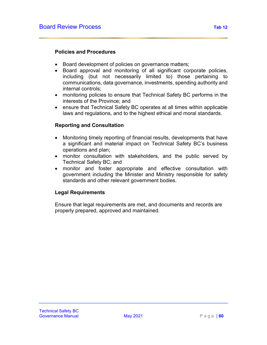# **Policies and Procedures**

- Board development of policies on governance matters;
- Board approval and monitoring of all significant corporate policies, including (but not necessarily limited to) those pertaining to communications, data governance, investments, spending authority and internal controls;
- monitoring policies to ensure that Technical Safety BC performs in the interests of the Province; and
- ensure that Technical Safety BC operates at all times within applicable laws and regulations, and to the highest ethical and moral standards.

# **Reporting and Consultation**

- Monitoring timely reporting of financial results, developments that have a significant and material impact on Technical Safety BC's business operations and plan;
- monitor consultation with stakeholders, and the public served by Technical Safety BC; and
- monitor and foster appropriate and effective consultation with government including the Minister and Ministry responsible for safety standards and other relevant government bodies.

# **Legal Requirements**

Ensure that legal requirements are met, and documents and records are properly prepared, approved and maintained.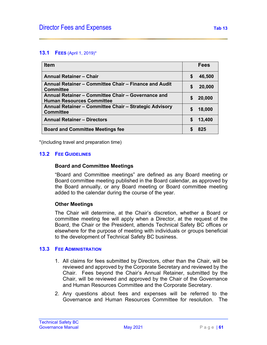#### **13.1 FEES** (April 1, 2019)\*

| <b>Item</b>                                                                            |   | <b>Fees</b> |
|----------------------------------------------------------------------------------------|---|-------------|
| <b>Annual Retainer - Chair</b>                                                         | S | 46,500      |
| Annual Retainer – Committee Chair – Finance and Audit<br><b>Committee</b>              |   | 20,000      |
| Annual Retainer - Committee Chair - Governance and<br><b>Human Resources Committee</b> |   | 20,000      |
| Annual Retainer - Committee Chair - Strategic Advisory<br><b>Committee</b>             | S | 18,000      |
| <b>Annual Retainer - Directors</b>                                                     |   | 13,400      |
| <b>Board and Committee Meetings fee</b>                                                |   | 825         |

\*(including travel and preparation time)

### **13.2 FEE GUIDELINES**

#### **Board and Committee Meetings**

"Board and Committee meetings" are defined as any Board meeting or Board committee meeting published in the Board calendar, as approved by the Board annually, or any Board meeting or Board committee meeting added to the calendar during the course of the year.

#### **Other Meetings**

The Chair will determine, at the Chair's discretion, whether a Board or committee meeting fee will apply when a Director, at the request of the Board, the Chair or the President, attends Technical Safety BC offices or elsewhere for the purpose of meeting with individuals or groups beneficial to the development of Technical Safety BC business.

### **13.3 FEE ADMINISTRATION**

- 1. All claims for fees submitted by Directors, other than the Chair, will be reviewed and approved by the Corporate Secretary and reviewed by the Chair. Fees beyond the Chair's Annual Retainer, submitted by the Chair, will be reviewed and approved by the Chair of the Governance and Human Resources Committee and the Corporate Secretary.
- 2. Any questions about fees and expenses will be referred to the Governance and Human Resources Committee for resolution. The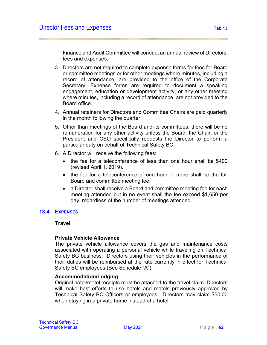Finance and Audit Committee will conduct an annual review of Directors' fees and expenses.

- 3. Directors are not required to complete expense forms for fees for Board or committee meetings or for other meetings where minutes, including a record of attendance, are provided to the office of the Corporate Secretary. Expense forms are required to document a speaking engagement, education or development activity, or any other meeting where minutes, including a record of attendance, are not provided to the Board office.
- 4. Annual retainers for Directors and Committee Chairs are paid quarterly in the month following the quarter.
- 5. Other than meetings of the Board and its committees, there will be no remuneration for any other activity unless the Board, the Chair, or the President and CEO specifically requests the Director to perform a particular duty on behalf of Technical Safety BC.
- 6. A Director will receive the following fees:
	- the fee for a teleconference of less than one hour shall be \$400 (revised April 1, 2019).
	- the fee for a teleconference of one hour or more shall be the full Board and committee meeting fee.
	- a Director shall receive a Board and committee meeting fee for each meeting attended but in no event shall the fee exceed \$1,650 per day, regardless of the number of meetings attended.

#### **13.4 EXPENSES**

#### **Travel**

#### **Private Vehicle Allowance**

The private vehicle allowance covers the gas and maintenance costs associated with operating a personal vehicle while traveling on Technical Safety BC business. Directors using their vehicles in the performance of their duties will be reimbursed at the rate currently in effect for Technical Safety BC employees (See Schedule "A").

### **Accommodation/Lodging**

Original hotel/motel receipts must be attached to the travel claim. Directors will make best efforts to use hotels and motels previously approved by Technical Safety BC Officers or employees. Directors may claim \$50.00 when staying in a private home instead of a hotel.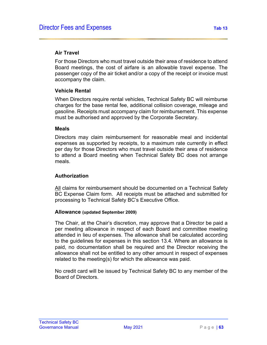## **Air Travel**

For those Directors who must travel outside their area of residence to attend Board meetings, the cost of airfare is an allowable travel expense. The passenger copy of the air ticket and/or a copy of the receipt or invoice must accompany the claim.

### **Vehicle Rental**

When Directors require rental vehicles, Technical Safety BC will reimburse charges for the base rental fee, additional collision coverage, mileage and gasoline. Receipts must accompany claim for reimbursement. This expense must be authorised and approved by the Corporate Secretary.

#### **Meals**

Directors may claim reimbursement for reasonable meal and incidental expenses as supported by receipts, to a maximum rate currently in effect per day for those Directors who must travel outside their area of residence to attend a Board meeting when Technical Safety BC does not arrange meals.

# **Authorization**

All claims for reimbursement should be documented on a Technical Safety BC Expense Claim form. All receipts must be attached and submitted for processing to Technical Safety BC's Executive Office.

#### **Allowance (updated September 2009)**

The Chair, at the Chair's discretion, may approve that a Director be paid a per meeting allowance in respect of each Board and committee meeting attended in lieu of expenses. The allowance shall be calculated according to the guidelines for expenses in this section 13.4. Where an allowance is paid, no documentation shall be required and the Director receiving the allowance shall not be entitled to any other amount in respect of expenses related to the meeting(s) for which the allowance was paid.

No credit card will be issued by Technical Safety BC to any member of the Board of Directors.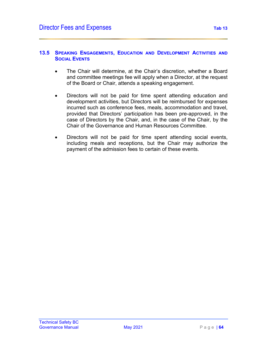- The Chair will determine, at the Chair's discretion, whether a Board and committee meetings fee will apply when a Director, at the request of the Board or Chair, attends a speaking engagement.
- Directors will not be paid for time spent attending education and development activities, but Directors will be reimbursed for expenses incurred such as conference fees, meals, accommodation and travel, provided that Directors' participation has been pre-approved, in the case of Directors by the Chair, and, in the case of the Chair, by the Chair of the Governance and Human Resources Committee.
- Directors will not be paid for time spent attending social events, including meals and receptions, but the Chair may authorize the payment of the admission fees to certain of these events.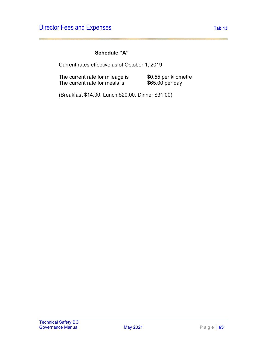# **Schedule "A"**

Current rates effective as of October 1, 2019

The current rate for mileage is  $$0.55$  per kilometre The current rate for meals is  $$65.00\,\mathrm{per\,day}$$ 

(Breakfast \$14.00, Lunch \$20.00, Dinner \$31.00)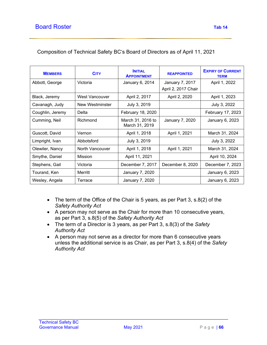| <b>MEMBERS</b>   | <b>CITY</b>     | <b>INITIAL</b><br><b>APPOINTMENT</b> | <b>REAPPOINTED</b>  | <b>EXPIRY OF CURRENT</b><br><b>TERM</b> |  |
|------------------|-----------------|--------------------------------------|---------------------|-----------------------------------------|--|
| Abbott, George   | Victoria        | January 6, 2014                      | January 7, 2017     | April 1, 2022                           |  |
|                  |                 |                                      | April 2, 2017 Chair |                                         |  |
| Black, Jeremy    | West Vancouver  | April 2, 2017                        | April 2, 2020       | April 1, 2023                           |  |
| Cavanagh, Judy   | New Westminster | July 3, 2019                         |                     | July 3, 2022                            |  |
| Coughlin, Jeremy | Delta           | February 18, 2020                    |                     | February 17, 2023                       |  |
| Cumming, Neil    | Richmond        | March 31, 2016 to<br>March 31, 2019  | January 7, 2020     | January 6, 2023                         |  |
| Guscott, David   | Vernon          | April 1, 2018                        | April 1, 2021       | March 31, 2024                          |  |
| Limpright, Ivan  | Abbotsford      | July 3, 2019                         |                     | July 3, 2022                            |  |
| Olewiler, Nancy  | North Vancouver | April 1, 2018                        | April 1, 2021       | March 31, 2024                          |  |
| Smythe, Daniel   | <b>Mission</b>  | April 11, 2021                       |                     | April 10, 2024                          |  |
| Stephens, Gail   | Victoria        | December 7, 2017                     | December 8, 2020    | December 7, 2023                        |  |
| Tourand, Ken     | Merritt         | January 7, 2020                      |                     | January 6, 2023                         |  |
| Wesley, Angela   | Terrace         | January 7, 2020                      |                     | January 6, 2023                         |  |

# Composition of Technical Safety BC's Board of Directors as of April 11, 2021

- The term of the Office of the Chair is 5 years, as per Part 3, s.8(2) of the *Safety Authority Act*
- A person may not serve as the Chair for more than 10 consecutive years, as per Part 3, s.8(5) of the *Safety Authority Act*
- The term of a Director is 3 years, as per Part 3, s.8(3) of the *Safety Authority Act*
- A person may not serve as a director for more than 6 consecutive years unless the additional service is as Chair, as per Part 3, s.8(4) of the *Safety Authority Act*